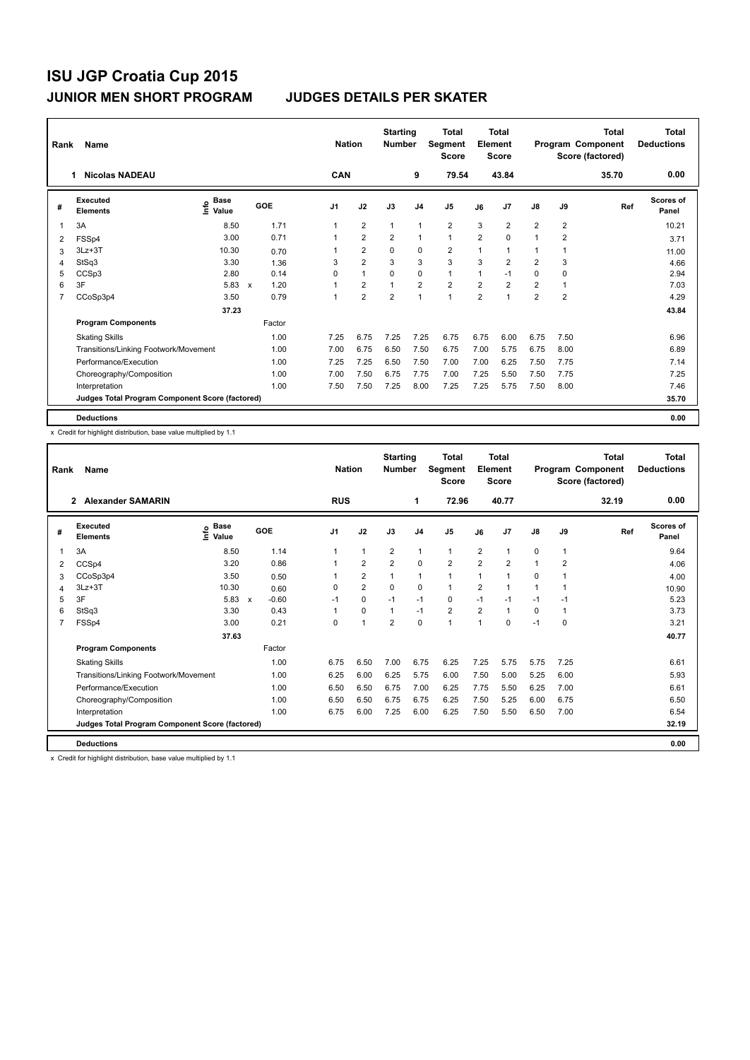| Rank | Name                                            |                                    |                                   |                | <b>Nation</b>  | <b>Starting</b><br><b>Number</b> |                | <b>Total</b><br>Segment<br><b>Score</b> |                | <b>Total</b><br>Element<br><b>Score</b> |                |                | <b>Total</b><br>Program Component<br>Score (factored) | <b>Total</b><br><b>Deductions</b> |
|------|-------------------------------------------------|------------------------------------|-----------------------------------|----------------|----------------|----------------------------------|----------------|-----------------------------------------|----------------|-----------------------------------------|----------------|----------------|-------------------------------------------------------|-----------------------------------|
|      | <b>Nicolas NADEAU</b><br>1                      |                                    |                                   | CAN            |                |                                  | 9              | 79.54                                   |                | 43.84                                   |                |                | 35.70                                                 | 0.00                              |
| #    | Executed<br><b>Elements</b>                     | <b>Base</b><br>$\frac{6}{5}$ Value | GOE                               | J <sub>1</sub> | J2             | J3                               | J <sub>4</sub> | J <sub>5</sub>                          | J6             | J7                                      | $\mathsf{J}8$  | J9             | Ref                                                   | Scores of<br>Panel                |
|      | 3A                                              | 8.50                               | 1.71                              |                | $\overline{2}$ | $\mathbf{1}$                     | $\mathbf{1}$   | $\overline{\mathbf{c}}$                 | 3              | $\overline{2}$                          | $\overline{2}$ | $\overline{2}$ |                                                       | 10.21                             |
| 2    | FSSp4                                           | 3.00                               | 0.71                              |                | $\overline{2}$ | $\overline{2}$                   | $\mathbf{1}$   | $\mathbf{1}$                            | $\overline{2}$ | $\mathbf 0$                             | 1              | $\overline{2}$ |                                                       | 3.71                              |
| 3    | $3Lz + 3T$                                      | 10.30                              | 0.70                              |                | $\overline{2}$ | $\mathbf 0$                      | $\mathbf 0$    | $\overline{\mathbf{c}}$                 | 1              | 1                                       | 1              | 1              |                                                       | 11.00                             |
| 4    | StSq3                                           | 3.30                               | 1.36                              | 3              | $\overline{2}$ | 3                                | 3              | 3                                       | 3              | $\overline{2}$                          | $\overline{2}$ | 3              |                                                       | 4.66                              |
| 5    | CCSp3                                           | 2.80                               | 0.14                              | 0              | $\overline{1}$ | $\Omega$                         | $\mathbf 0$    | $\mathbf{1}$                            | 1              | $-1$                                    | 0              | $\Omega$       |                                                       | 2.94                              |
| 6    | 3F                                              | 5.83                               | 1.20<br>$\boldsymbol{\mathsf{x}}$ |                | $\overline{2}$ | $\mathbf{1}$                     | $\overline{2}$ | $\overline{2}$                          | $\overline{2}$ | $\overline{2}$                          | $\overline{2}$ | 1              |                                                       | 7.03                              |
| 7    | CCoSp3p4                                        | 3.50                               | 0.79                              |                | $\overline{2}$ | $\overline{2}$                   | $\mathbf{1}$   | $\blacktriangleleft$                    | $\overline{2}$ | 1                                       | $\overline{2}$ | $\overline{2}$ |                                                       | 4.29                              |
|      |                                                 | 37.23                              |                                   |                |                |                                  |                |                                         |                |                                         |                |                |                                                       | 43.84                             |
|      | <b>Program Components</b>                       |                                    | Factor                            |                |                |                                  |                |                                         |                |                                         |                |                |                                                       |                                   |
|      | <b>Skating Skills</b>                           |                                    | 1.00                              | 7.25           | 6.75           | 7.25                             | 7.25           | 6.75                                    | 6.75           | 6.00                                    | 6.75           | 7.50           |                                                       | 6.96                              |
|      | Transitions/Linking Footwork/Movement           |                                    | 1.00                              | 7.00           | 6.75           | 6.50                             | 7.50           | 6.75                                    | 7.00           | 5.75                                    | 6.75           | 8.00           |                                                       | 6.89                              |
|      | Performance/Execution                           |                                    | 1.00                              | 7.25           | 7.25           | 6.50                             | 7.50           | 7.00                                    | 7.00           | 6.25                                    | 7.50           | 7.75           |                                                       | 7.14                              |
|      | Choreography/Composition                        |                                    | 1.00                              | 7.00           | 7.50           | 6.75                             | 7.75           | 7.00                                    | 7.25           | 5.50                                    | 7.50           | 7.75           |                                                       | 7.25                              |
|      | Interpretation                                  |                                    | 1.00                              | 7.50           | 7.50           | 7.25                             | 8.00           | 7.25                                    | 7.25           | 5.75                                    | 7.50           | 8.00           |                                                       | 7.46                              |
|      | Judges Total Program Component Score (factored) |                                    |                                   |                |                |                                  |                |                                         |                |                                         |                |                |                                                       | 35.70                             |
|      | <b>Deductions</b>                               |                                    |                                   |                |                |                                  |                |                                         |                |                                         |                |                |                                                       | 0.00                              |

x Credit for highlight distribution, base value multiplied by 1.1

| Rank | Name                                            |                                  |              |         |            | <b>Nation</b>           | <b>Starting</b><br><b>Number</b> |                | <b>Total</b><br>Segment<br><b>Score</b> |                | Total<br>Element<br><b>Score</b> |              |                | <b>Total</b><br>Program Component<br>Score (factored) | <b>Total</b><br><b>Deductions</b> |
|------|-------------------------------------------------|----------------------------------|--------------|---------|------------|-------------------------|----------------------------------|----------------|-----------------------------------------|----------------|----------------------------------|--------------|----------------|-------------------------------------------------------|-----------------------------------|
|      | $\overline{2}$<br><b>Alexander SAMARIN</b>      |                                  |              |         | <b>RUS</b> |                         |                                  | 1              | 72.96                                   |                | 40.77                            |              |                | 32.19                                                 | 0.00                              |
| #    | Executed<br><b>Elements</b>                     | <b>Base</b><br>e Base<br>⊆ Value | GOE          |         | J1         | J2                      | J3                               | J <sub>4</sub> | J <sub>5</sub>                          | J6             | J <sub>7</sub>                   | J8           | J9             | Ref                                                   | <b>Scores of</b><br>Panel         |
| 1    | 3A                                              | 8.50                             |              | 1.14    |            | $\mathbf{1}$            | $\overline{2}$                   | $\mathbf{1}$   | $\mathbf{1}$                            | $\overline{2}$ | $\overline{1}$                   | 0            | $\mathbf{1}$   |                                                       | 9.64                              |
| 2    | CCSp4                                           | 3.20                             |              | 0.86    |            | $\overline{2}$          | $\overline{2}$                   | $\mathbf 0$    | $\overline{2}$                          | $\overline{2}$ | $\overline{2}$                   | $\mathbf{1}$ | $\overline{2}$ |                                                       | 4.06                              |
| 3    | CCoSp3p4                                        | 3.50                             |              | 0.50    |            | $\overline{\mathbf{c}}$ | 1                                | 1              | 1                                       | $\mathbf 1$    | $\overline{1}$                   | 0            | 1              |                                                       | 4.00                              |
| 4    | $3Lz + 3T$                                      | 10.30                            |              | 0.60    | 0          | $\overline{2}$          | 0                                | 0              | $\mathbf{1}$                            | 2              | $\overline{1}$                   | 1            | 1              |                                                       | 10.90                             |
| 5    | 3F                                              | 5.83                             | $\mathsf{x}$ | $-0.60$ | $-1$       | $\mathbf 0$             | $-1$                             | $-1$           | 0                                       | $-1$           | $-1$                             | $-1$         | $-1$           |                                                       | 5.23                              |
| 6    | StSq3                                           | 3.30                             |              | 0.43    |            | $\mathbf 0$             | 1                                | $-1$           | $\overline{2}$                          | $\overline{2}$ | 1                                | 0            | 1              |                                                       | 3.73                              |
| 7    | FSSp4                                           | 3.00                             |              | 0.21    | $\Omega$   | $\overline{1}$          | $\overline{2}$                   | $\Omega$       | 1                                       | $\overline{1}$ | $\Omega$                         | $-1$         | $\Omega$       |                                                       | 3.21                              |
|      |                                                 | 37.63                            |              |         |            |                         |                                  |                |                                         |                |                                  |              |                |                                                       | 40.77                             |
|      | <b>Program Components</b>                       |                                  |              | Factor  |            |                         |                                  |                |                                         |                |                                  |              |                |                                                       |                                   |
|      | <b>Skating Skills</b>                           |                                  |              | 1.00    | 6.75       | 6.50                    | 7.00                             | 6.75           | 6.25                                    | 7.25           | 5.75                             | 5.75         | 7.25           |                                                       | 6.61                              |
|      | Transitions/Linking Footwork/Movement           |                                  |              | 1.00    | 6.25       | 6.00                    | 6.25                             | 5.75           | 6.00                                    | 7.50           | 5.00                             | 5.25         | 6.00           |                                                       | 5.93                              |
|      | Performance/Execution                           |                                  |              | 1.00    | 6.50       | 6.50                    | 6.75                             | 7.00           | 6.25                                    | 7.75           | 5.50                             | 6.25         | 7.00           |                                                       | 6.61                              |
|      | Choreography/Composition                        |                                  |              | 1.00    | 6.50       | 6.50                    | 6.75                             | 6.75           | 6.25                                    | 7.50           | 5.25                             | 6.00         | 6.75           |                                                       | 6.50                              |
|      | Interpretation                                  |                                  |              | 1.00    | 6.75       | 6.00                    | 7.25                             | 6.00           | 6.25                                    | 7.50           | 5.50                             | 6.50         | 7.00           |                                                       | 6.54                              |
|      | Judges Total Program Component Score (factored) |                                  |              |         |            |                         |                                  |                |                                         |                |                                  |              |                |                                                       | 32.19                             |
|      | <b>Deductions</b>                               |                                  |              |         |            |                         |                                  |                |                                         |                |                                  |              |                |                                                       | 0.00                              |

x Credit for highlight distribution, base value multiplied by 1.1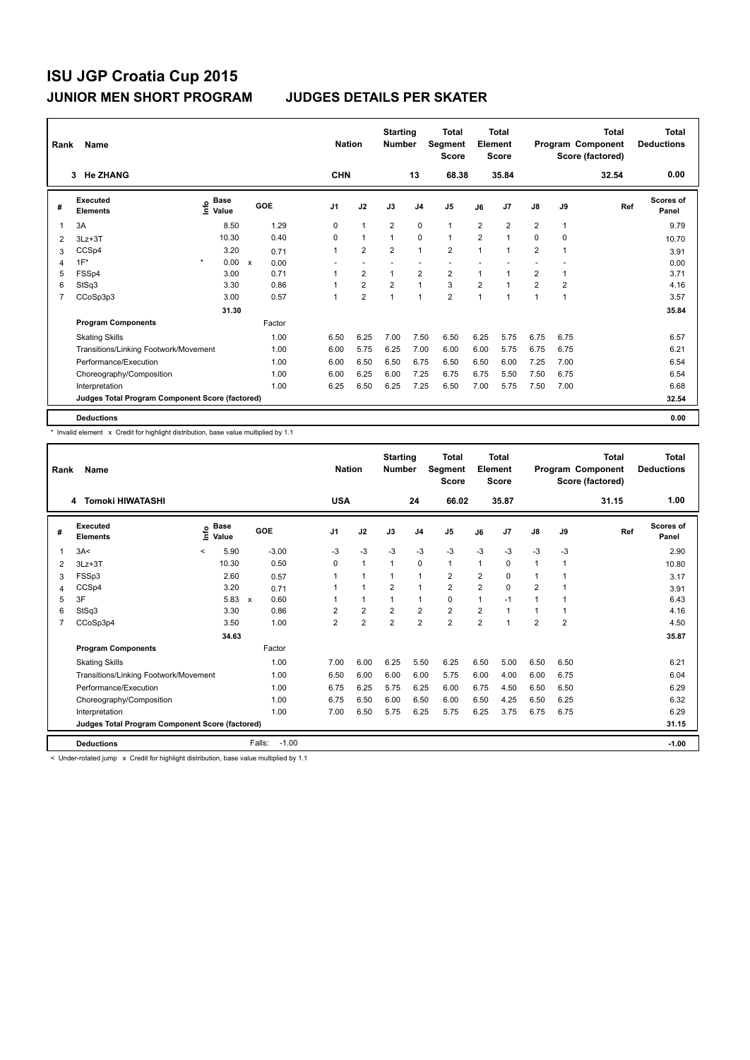| Rank | Name                                            |                                    |                      | <b>Nation</b>  |                | <b>Starting</b><br><b>Number</b> |                | <b>Total</b><br>Segment<br><b>Score</b> |                | <b>Total</b><br>Element<br><b>Score</b> |                |                | <b>Total</b><br>Program Component<br>Score (factored) | <b>Total</b><br><b>Deductions</b> |
|------|-------------------------------------------------|------------------------------------|----------------------|----------------|----------------|----------------------------------|----------------|-----------------------------------------|----------------|-----------------------------------------|----------------|----------------|-------------------------------------------------------|-----------------------------------|
|      | <b>He ZHANG</b><br>3                            |                                    |                      | <b>CHN</b>     |                |                                  | 13             | 68.38                                   |                | 35.84                                   |                |                | 32.54                                                 | 0.00                              |
| #    | Executed<br><b>Elements</b>                     | <b>Base</b><br>$\frac{6}{5}$ Value | GOE                  | J <sub>1</sub> | J2             | J3                               | J <sub>4</sub> | J <sub>5</sub>                          | J6             | J7                                      | $\mathsf{J}8$  | J9             | Ref                                                   | Scores of<br>Panel                |
| 1    | 3A                                              | 8.50                               | 1.29                 | 0              | $\mathbf{1}$   | $\overline{2}$                   | 0              | $\mathbf{1}$                            | 2              | $\overline{2}$                          | $\overline{2}$ | $\mathbf{1}$   |                                                       | 9.79                              |
| 2    | $3Lz + 3T$                                      | 10.30                              | 0.40                 | 0              | $\mathbf{1}$   | $\mathbf{1}$                     | $\mathbf 0$    | $\mathbf{1}$                            | $\overline{2}$ | 1                                       | 0              | 0              |                                                       | 10.70                             |
| 3    | CCSp4                                           | 3.20                               | 0.71                 |                | $\overline{2}$ | $\overline{2}$                   | $\mathbf{1}$   | $\overline{2}$                          | 1              | 1                                       | $\overline{2}$ | 1              |                                                       | 3.91                              |
| 4    | $1F^*$                                          | $\star$<br>0.00                    | $\mathsf{x}$<br>0.00 |                |                |                                  |                |                                         |                |                                         |                |                |                                                       | 0.00                              |
| 5    | FSSp4                                           | 3.00                               | 0.71                 |                | $\overline{2}$ | $\mathbf{1}$                     | $\overline{2}$ | $\overline{2}$                          | 1              | 1                                       | $\overline{2}$ | 1              |                                                       | 3.71                              |
| 6    | StSq3                                           | 3.30                               | 0.86                 |                | $\overline{2}$ | $\overline{2}$                   | $\mathbf{1}$   | 3                                       | $\overline{2}$ | $\overline{1}$                          | $\overline{2}$ | $\overline{2}$ |                                                       | 4.16                              |
| 7    | CCoSp3p3                                        | 3.00                               | 0.57                 |                | $\overline{2}$ | $\overline{1}$                   | $\mathbf{1}$   | $\overline{2}$                          | 1              | 1                                       | $\mathbf{1}$   | 1              |                                                       | 3.57                              |
|      |                                                 | 31.30                              |                      |                |                |                                  |                |                                         |                |                                         |                |                |                                                       | 35.84                             |
|      | <b>Program Components</b>                       |                                    | Factor               |                |                |                                  |                |                                         |                |                                         |                |                |                                                       |                                   |
|      | <b>Skating Skills</b>                           |                                    | 1.00                 | 6.50           | 6.25           | 7.00                             | 7.50           | 6.50                                    | 6.25           | 5.75                                    | 6.75           | 6.75           |                                                       | 6.57                              |
|      | Transitions/Linking Footwork/Movement           |                                    | 1.00                 | 6.00           | 5.75           | 6.25                             | 7.00           | 6.00                                    | 6.00           | 5.75                                    | 6.75           | 6.75           |                                                       | 6.21                              |
|      | Performance/Execution                           |                                    | 1.00                 | 6.00           | 6.50           | 6.50                             | 6.75           | 6.50                                    | 6.50           | 6.00                                    | 7.25           | 7.00           |                                                       | 6.54                              |
|      | Choreography/Composition                        |                                    | 1.00                 | 6.00           | 6.25           | 6.00                             | 7.25           | 6.75                                    | 6.75           | 5.50                                    | 7.50           | 6.75           |                                                       | 6.54                              |
|      | Interpretation                                  |                                    | 1.00                 | 6.25           | 6.50           | 6.25                             | 7.25           | 6.50                                    | 7.00           | 5.75                                    | 7.50           | 7.00           |                                                       | 6.68                              |
|      | Judges Total Program Component Score (factored) |                                    |                      |                |                |                                  |                |                                         |                |                                         |                |                |                                                       | 32.54                             |
|      | <b>Deductions</b>                               |                                    |                      |                |                |                                  |                |                                         |                |                                         |                |                |                                                       | 0.00                              |

\* Invalid element x Credit for highlight distribution, base value multiplied by 1.1

| Rank | Name                                            |                          |                             |                           |         | <b>Nation</b>  |                      | <b>Starting</b><br><b>Number</b> |                | <b>Total</b><br>Segment<br><b>Score</b> |                | <b>Total</b><br>Element<br><b>Score</b> |                |                | Total<br>Program Component<br>Score (factored) | <b>Total</b><br><b>Deductions</b> |
|------|-------------------------------------------------|--------------------------|-----------------------------|---------------------------|---------|----------------|----------------------|----------------------------------|----------------|-----------------------------------------|----------------|-----------------------------------------|----------------|----------------|------------------------------------------------|-----------------------------------|
|      | <b>Tomoki HIWATASHI</b><br>4                    |                          |                             |                           |         | <b>USA</b>     |                      |                                  | 24             | 66.02                                   |                | 35.87                                   |                |                | 31.15                                          | 1.00                              |
| #    | Executed<br><b>Elements</b>                     |                          | $\sum_{k=1}^{\infty}$ Value |                           | GOE     | J1             | J2                   | J3                               | J <sub>4</sub> | J5                                      | J6             | J <sub>7</sub>                          | J8             | J9             | Ref                                            | Scores of<br>Panel                |
| 1    | 3A<                                             | $\overline{\phantom{0}}$ | 5.90                        |                           | $-3.00$ | $-3$           | $-3$                 | $-3$                             | $-3$           | $-3$                                    | $-3$           | $-3$                                    | $-3$           | -3             |                                                | 2.90                              |
| 2    | $3Lz + 3T$                                      |                          | 10.30                       |                           | 0.50    | 0              | $\mathbf{1}$         | 1                                | 0              | $\mathbf{1}$                            | $\mathbf{1}$   | 0                                       | $\mathbf{1}$   | $\mathbf{1}$   |                                                | 10.80                             |
| 3    | FSSp3                                           |                          | 2.60                        |                           | 0.57    |                | $\mathbf{1}$         | 1                                | 1              | $\overline{2}$                          | $\overline{2}$ | 0                                       | $\mathbf{1}$   | 1              |                                                | 3.17                              |
| 4    | CCSp4                                           |                          | 3.20                        |                           | 0.71    |                | $\blacktriangleleft$ | $\overline{2}$                   | 1              | $\overline{2}$                          | 2              | 0                                       | 2              |                |                                                | 3.91                              |
| 5    | 3F                                              |                          | 5.83                        | $\boldsymbol{\mathsf{x}}$ | 0.60    |                | 1                    |                                  | 1              | 0                                       | $\mathbf 1$    | $-1$                                    | $\mathbf{1}$   | 1              |                                                | 6.43                              |
| 6    | StSq3                                           |                          | 3.30                        |                           | 0.86    | 2              | $\overline{2}$       | $\overline{2}$                   | $\overline{2}$ | $\overline{2}$                          | $\overline{2}$ | $\overline{1}$                          | $\mathbf{1}$   | 1              |                                                | 4.16                              |
| 7    | CCoSp3p4                                        |                          | 3.50                        |                           | 1.00    | $\overline{2}$ | $\overline{2}$       | $\overline{2}$                   | $\overline{2}$ | $\overline{2}$                          | $\overline{2}$ | 1                                       | $\overline{2}$ | $\overline{2}$ |                                                | 4.50                              |
|      |                                                 |                          | 34.63                       |                           |         |                |                      |                                  |                |                                         |                |                                         |                |                |                                                | 35.87                             |
|      | <b>Program Components</b>                       |                          |                             |                           | Factor  |                |                      |                                  |                |                                         |                |                                         |                |                |                                                |                                   |
|      | <b>Skating Skills</b>                           |                          |                             |                           | 1.00    | 7.00           | 6.00                 | 6.25                             | 5.50           | 6.25                                    | 6.50           | 5.00                                    | 6.50           | 6.50           |                                                | 6.21                              |
|      | Transitions/Linking Footwork/Movement           |                          |                             |                           | 1.00    | 6.50           | 6.00                 | 6.00                             | 6.00           | 5.75                                    | 6.00           | 4.00                                    | 6.00           | 6.75           |                                                | 6.04                              |
|      | Performance/Execution                           |                          |                             |                           | 1.00    | 6.75           | 6.25                 | 5.75                             | 6.25           | 6.00                                    | 6.75           | 4.50                                    | 6.50           | 6.50           |                                                | 6.29                              |
|      | Choreography/Composition                        |                          |                             |                           | 1.00    | 6.75           | 6.50                 | 6.00                             | 6.50           | 6.00                                    | 6.50           | 4.25                                    | 6.50           | 6.25           |                                                | 6.32                              |
|      | Interpretation                                  |                          |                             |                           | 1.00    | 7.00           | 6.50                 | 5.75                             | 6.25           | 5.75                                    | 6.25           | 3.75                                    | 6.75           | 6.75           |                                                | 6.29                              |
|      | Judges Total Program Component Score (factored) |                          |                             |                           |         |                |                      |                                  |                |                                         |                |                                         |                |                |                                                | 31.15                             |
|      | <b>Deductions</b>                               |                          |                             | Falls:                    | $-1.00$ |                |                      |                                  |                |                                         |                |                                         |                |                |                                                | $-1.00$                           |

< Under-rotated jump x Credit for highlight distribution, base value multiplied by 1.1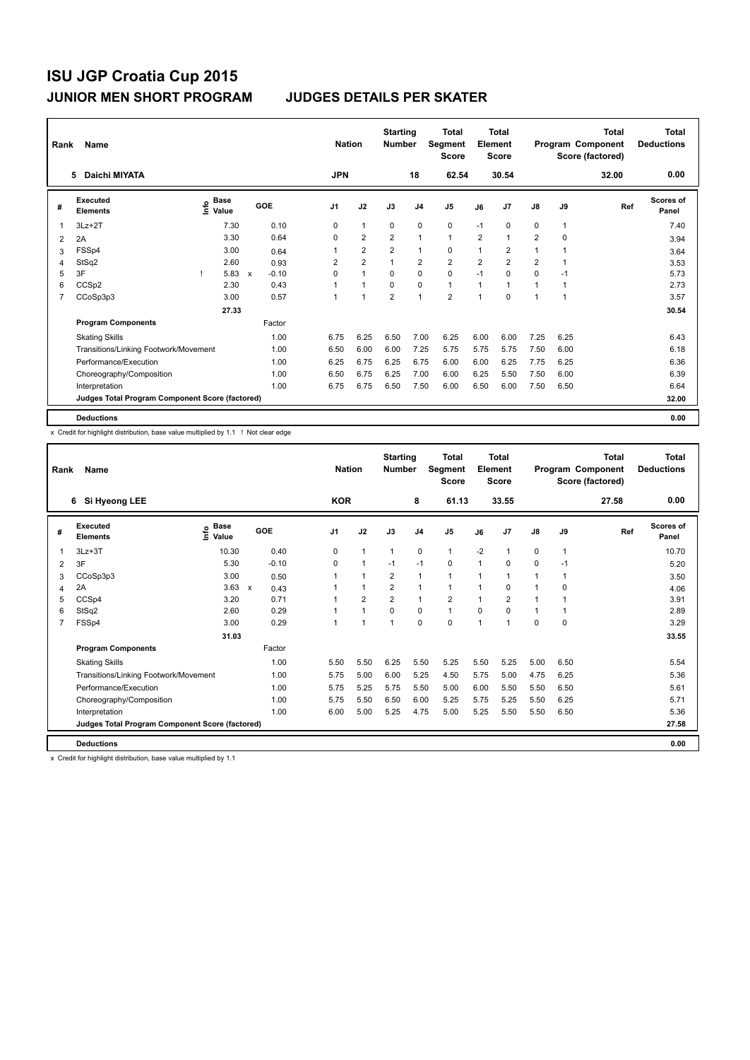| Rank           | Name                                            |                                    |             |         | <b>Nation</b>  |                | <b>Starting</b><br><b>Number</b> |                | Total<br>Segment<br><b>Score</b> |                | <b>Total</b><br>Element<br><b>Score</b> |                |      | <b>Total</b><br>Program Component<br>Score (factored) | <b>Total</b><br><b>Deductions</b> |
|----------------|-------------------------------------------------|------------------------------------|-------------|---------|----------------|----------------|----------------------------------|----------------|----------------------------------|----------------|-----------------------------------------|----------------|------|-------------------------------------------------------|-----------------------------------|
|                | Daichi MIYATA<br>5                              |                                    |             |         | <b>JPN</b>     |                |                                  | 18             | 62.54                            |                | 30.54                                   |                |      | 32.00                                                 | 0.00                              |
| #              | Executed<br><b>Elements</b>                     | <b>Base</b><br>$\frac{6}{5}$ Value |             | GOE     | J <sub>1</sub> | J2             | J3                               | J <sub>4</sub> | J <sub>5</sub>                   | J6             | J7                                      | $\mathsf{J}8$  | J9   | Ref                                                   | Scores of<br>Panel                |
| 1              | $3Lz + 2T$                                      | 7.30                               |             | 0.10    | 0              | $\mathbf{1}$   | 0                                | 0              | $\mathbf 0$                      | $-1$           | 0                                       | 0              | 1    |                                                       | 7.40                              |
| 2              | 2A                                              | 3.30                               |             | 0.64    | $\Omega$       | $\overline{2}$ | $\overline{2}$                   | $\mathbf{1}$   | $\mathbf{1}$                     | $\overline{2}$ | 1                                       | $\overline{2}$ | 0    |                                                       | 3.94                              |
| 3              | FSSp4                                           | 3.00                               |             | 0.64    | 1              | $\overline{2}$ | $\overline{2}$                   | $\mathbf{1}$   | 0                                | 1              | $\overline{2}$                          | 1              |      |                                                       | 3.64                              |
| 4              | StSq2                                           | 2.60                               |             | 0.93    | 2              | $\overline{2}$ |                                  | $\overline{2}$ | $\overline{2}$                   | $\overline{2}$ | $\overline{2}$                          | $\overline{2}$ |      |                                                       | 3.53                              |
| 5              | 3F                                              | 5.83                               | $\mathbf x$ | $-0.10$ | $\Omega$       | $\mathbf{1}$   | $\Omega$                         | $\mathbf 0$    | $\mathbf 0$                      | $-1$           | 0                                       | $\Omega$       | $-1$ |                                                       | 5.73                              |
| 6              | CCSp <sub>2</sub>                               | 2.30                               |             | 0.43    |                | $\overline{1}$ | $\Omega$                         | $\mathbf 0$    | $\mathbf{1}$                     | $\overline{1}$ | 1                                       | $\mathbf 1$    | 1    |                                                       | 2.73                              |
| $\overline{7}$ | CCoSp3p3                                        | 3.00                               |             | 0.57    | 1              |                | $\overline{2}$                   | $\mathbf{1}$   | $\overline{2}$                   | 1              | 0                                       | 1              | 1    |                                                       | 3.57                              |
|                |                                                 | 27.33                              |             |         |                |                |                                  |                |                                  |                |                                         |                |      |                                                       | 30.54                             |
|                | <b>Program Components</b>                       |                                    |             | Factor  |                |                |                                  |                |                                  |                |                                         |                |      |                                                       |                                   |
|                | <b>Skating Skills</b>                           |                                    |             | 1.00    | 6.75           | 6.25           | 6.50                             | 7.00           | 6.25                             | 6.00           | 6.00                                    | 7.25           | 6.25 |                                                       | 6.43                              |
|                | Transitions/Linking Footwork/Movement           |                                    |             | 1.00    | 6.50           | 6.00           | 6.00                             | 7.25           | 5.75                             | 5.75           | 5.75                                    | 7.50           | 6.00 |                                                       | 6.18                              |
|                | Performance/Execution                           |                                    |             | 1.00    | 6.25           | 6.75           | 6.25                             | 6.75           | 6.00                             | 6.00           | 6.25                                    | 7.75           | 6.25 |                                                       | 6.36                              |
|                | Choreography/Composition                        |                                    |             | 1.00    | 6.50           | 6.75           | 6.25                             | 7.00           | 6.00                             | 6.25           | 5.50                                    | 7.50           | 6.00 |                                                       | 6.39                              |
|                | Interpretation                                  |                                    |             | 1.00    | 6.75           | 6.75           | 6.50                             | 7.50           | 6.00                             | 6.50           | 6.00                                    | 7.50           | 6.50 |                                                       | 6.64                              |
|                | Judges Total Program Component Score (factored) |                                    |             |         |                |                |                                  |                |                                  |                |                                         |                |      |                                                       | 32.00                             |
|                | <b>Deductions</b>                               |                                    |             |         |                |                |                                  |                |                                  |                |                                         |                |      |                                                       | 0.00                              |

x Credit for highlight distribution, base value multiplied by 1.1 ! Not clear edge

| Rank           | Name                                            |                              |         | <b>Nation</b>  |                | <b>Starting</b><br><b>Number</b> |                | Total<br>Segment<br><b>Score</b> |                | Total<br>Element<br><b>Score</b> |                |              | <b>Total</b><br>Program Component<br>Score (factored) | <b>Total</b><br><b>Deductions</b> |
|----------------|-------------------------------------------------|------------------------------|---------|----------------|----------------|----------------------------------|----------------|----------------------------------|----------------|----------------------------------|----------------|--------------|-------------------------------------------------------|-----------------------------------|
|                | Si Hyeong LEE<br>6                              |                              |         | <b>KOR</b>     |                |                                  | 8              | 61.13                            |                | 33.55                            |                |              | 27.58                                                 | 0.00                              |
| #              | Executed<br><b>Elements</b>                     | <b>Base</b><br>lnfo<br>Value | GOE     | J <sub>1</sub> | J2             | J3                               | J <sub>4</sub> | J <sub>5</sub>                   | J6             | J <sub>7</sub>                   | J8             | J9           | Ref                                                   | Scores of<br>Panel                |
| 1              | $3Lz + 3T$                                      | 10.30                        | 0.40    | 0              | $\mathbf{1}$   | 1                                | 0              | $\mathbf{1}$                     | $-2$           | $\mathbf{1}$                     | 0              | $\mathbf{1}$ |                                                       | 10.70                             |
| $\overline{2}$ | 3F                                              | 5.30                         | $-0.10$ | $\Omega$       | $\mathbf{1}$   | $-1$                             | $-1$           | $\Omega$                         | $\mathbf{1}$   | $\Omega$                         | 0              | $-1$         |                                                       | 5.20                              |
| 3              | CCoSp3p3                                        | 3.00                         | 0.50    | 1              | $\mathbf{1}$   | $\overline{2}$                   | $\mathbf{1}$   | $\mathbf{1}$                     | 1              | $\overline{1}$                   | $\overline{1}$ | 1            |                                                       | 3.50                              |
| 4              | 2A                                              | $3.63 \times$                | 0.43    | 1              | $\mathbf{1}$   | $\overline{2}$                   | 1              | $\mathbf{1}$                     | 1              | 0                                | 1              | 0            |                                                       | 4.06                              |
| 5              | CCSp4                                           | 3.20                         | 0.71    | 1              | $\overline{2}$ | $\overline{2}$                   | $\mathbf{1}$   | $\overline{2}$                   |                | $\overline{2}$                   |                |              |                                                       | 3.91                              |
| 6              | StSq2                                           | 2.60                         | 0.29    | $\overline{1}$ | 1              | $\Omega$                         | 0              | $\blacktriangleleft$             | $\Omega$       | $\Omega$                         |                |              |                                                       | 2.89                              |
| 7              | FSSp4                                           | 3.00                         | 0.29    | 1              | 1              | $\mathbf{1}$                     | $\Omega$       | 0                                | $\overline{1}$ | $\overline{1}$                   | 0              | 0            |                                                       | 3.29                              |
|                |                                                 | 31.03                        |         |                |                |                                  |                |                                  |                |                                  |                |              |                                                       | 33.55                             |
|                | <b>Program Components</b>                       |                              | Factor  |                |                |                                  |                |                                  |                |                                  |                |              |                                                       |                                   |
|                | <b>Skating Skills</b>                           |                              | 1.00    | 5.50           | 5.50           | 6.25                             | 5.50           | 5.25                             | 5.50           | 5.25                             | 5.00           | 6.50         |                                                       | 5.54                              |
|                | Transitions/Linking Footwork/Movement           |                              | 1.00    | 5.75           | 5.00           | 6.00                             | 5.25           | 4.50                             | 5.75           | 5.00                             | 4.75           | 6.25         |                                                       | 5.36                              |
|                | Performance/Execution                           |                              | 1.00    | 5.75           | 5.25           | 5.75                             | 5.50           | 5.00                             | 6.00           | 5.50                             | 5.50           | 6.50         |                                                       | 5.61                              |
|                | Choreography/Composition                        |                              | 1.00    | 5.75           | 5.50           | 6.50                             | 6.00           | 5.25                             | 5.75           | 5.25                             | 5.50           | 6.25         |                                                       | 5.71                              |
|                | Interpretation                                  |                              | 1.00    | 6.00           | 5.00           | 5.25                             | 4.75           | 5.00                             | 5.25           | 5.50                             | 5.50           | 6.50         |                                                       | 5.36                              |
|                | Judges Total Program Component Score (factored) |                              |         |                |                |                                  |                |                                  |                |                                  |                |              |                                                       | 27.58                             |
|                | <b>Deductions</b>                               |                              |         |                |                |                                  |                |                                  |                |                                  |                |              |                                                       | 0.00                              |

x Credit for highlight distribution, base value multiplied by 1.1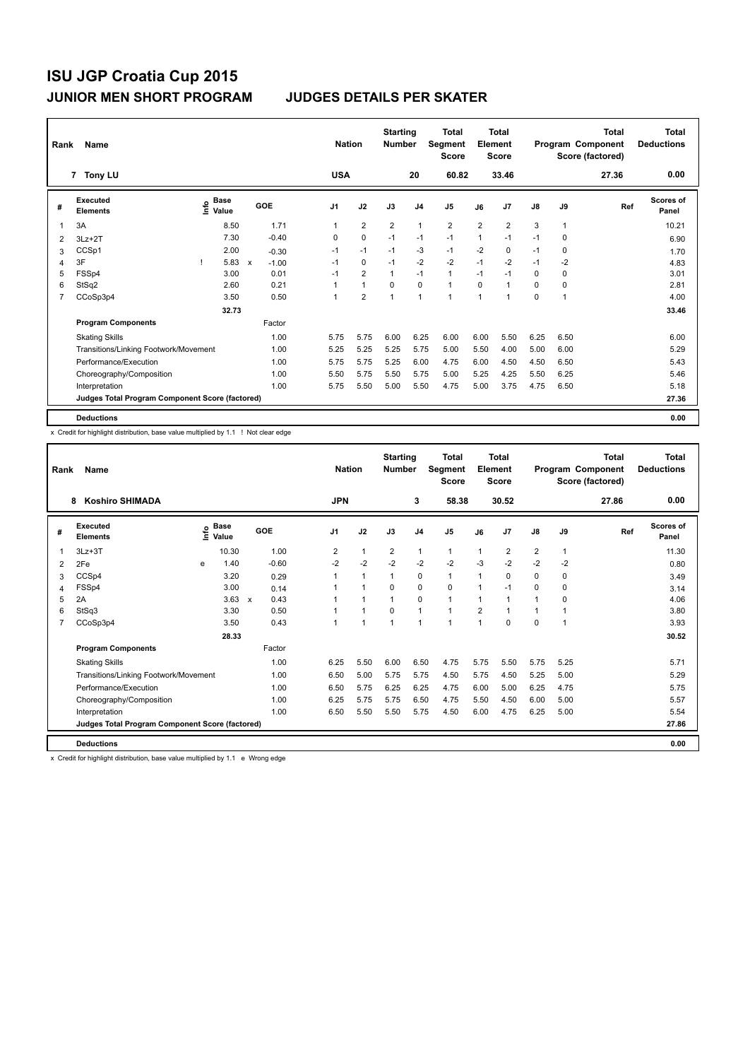| Rank           | <b>Name</b>                                     |                                    |                           |         |                | <b>Nation</b>  | <b>Starting</b><br><b>Number</b> |                | Total<br>Segment<br><b>Score</b> |                | <b>Total</b><br>Element<br><b>Score</b> |               |      | <b>Total</b><br>Program Component<br>Score (factored) | <b>Total</b><br><b>Deductions</b> |
|----------------|-------------------------------------------------|------------------------------------|---------------------------|---------|----------------|----------------|----------------------------------|----------------|----------------------------------|----------------|-----------------------------------------|---------------|------|-------------------------------------------------------|-----------------------------------|
|                | 7 Tony LU                                       |                                    |                           |         | <b>USA</b>     |                |                                  | 20             | 60.82                            |                | 33.46                                   |               |      | 27.36                                                 | 0.00                              |
| #              | Executed<br><b>Elements</b>                     | <b>Base</b><br>$\frac{6}{5}$ Value |                           | GOE     | J <sub>1</sub> | J2             | J3                               | J <sub>4</sub> | J <sub>5</sub>                   | J6             | J7                                      | $\mathsf{J}8$ | J9   | Ref                                                   | Scores of<br>Panel                |
| 1              | 3A                                              | 8.50                               |                           | 1.71    | 1              | $\overline{2}$ | $\overline{2}$                   | $\mathbf{1}$   | $\overline{2}$                   | $\overline{2}$ | $\overline{2}$                          | 3             | 1    |                                                       | 10.21                             |
| 2              | $3Lz + 2T$                                      | 7.30                               |                           | $-0.40$ | 0              | $\mathbf 0$    | $-1$                             | $-1$           | $-1$                             | 1              | $-1$                                    | $-1$          | 0    |                                                       | 6.90                              |
| 3              | CCSp1                                           | 2.00                               |                           | $-0.30$ | $-1$           | $-1$           | $-1$                             | -3             | $-1$                             | $-2$           | 0                                       | $-1$          | 0    |                                                       | 1.70                              |
| 4              | 3F                                              | 5.83                               | $\boldsymbol{\mathsf{x}}$ | $-1.00$ | $-1$           | $\mathbf 0$    | $-1$                             | $-2$           | $-2$                             | $-1$           | $-2$                                    | $-1$          | $-2$ |                                                       | 4.83                              |
| 5              | FSSp4                                           | 3.00                               |                           | 0.01    | $-1$           | $\overline{2}$ | 1                                | $-1$           | $\mathbf{1}$                     | $-1$           | $-1$                                    | 0             | 0    |                                                       | 3.01                              |
| 6              | StSq2                                           | 2.60                               |                           | 0.21    |                | $\mathbf{1}$   | $\Omega$                         | $\mathbf 0$    | $\mathbf{1}$                     | $\Omega$       | $\overline{1}$                          | 0             | 0    |                                                       | 2.81                              |
| $\overline{7}$ | CCoSp3p4                                        | 3.50                               |                           | 0.50    | 1              | $\overline{2}$ | $\overline{1}$                   | $\mathbf{1}$   | $\mathbf{1}$                     | $\overline{1}$ | 1                                       | 0             | 1    |                                                       | 4.00                              |
|                |                                                 | 32.73                              |                           |         |                |                |                                  |                |                                  |                |                                         |               |      |                                                       | 33.46                             |
|                | <b>Program Components</b>                       |                                    |                           | Factor  |                |                |                                  |                |                                  |                |                                         |               |      |                                                       |                                   |
|                | <b>Skating Skills</b>                           |                                    |                           | 1.00    | 5.75           | 5.75           | 6.00                             | 6.25           | 6.00                             | 6.00           | 5.50                                    | 6.25          | 6.50 |                                                       | 6.00                              |
|                | Transitions/Linking Footwork/Movement           |                                    |                           | 1.00    | 5.25           | 5.25           | 5.25                             | 5.75           | 5.00                             | 5.50           | 4.00                                    | 5.00          | 6.00 |                                                       | 5.29                              |
|                | Performance/Execution                           |                                    |                           | 1.00    | 5.75           | 5.75           | 5.25                             | 6.00           | 4.75                             | 6.00           | 4.50                                    | 4.50          | 6.50 |                                                       | 5.43                              |
|                | Choreography/Composition                        |                                    |                           | 1.00    | 5.50           | 5.75           | 5.50                             | 5.75           | 5.00                             | 5.25           | 4.25                                    | 5.50          | 6.25 |                                                       | 5.46                              |
|                | Interpretation                                  |                                    |                           | 1.00    | 5.75           | 5.50           | 5.00                             | 5.50           | 4.75                             | 5.00           | 3.75                                    | 4.75          | 6.50 |                                                       | 5.18                              |
|                | Judges Total Program Component Score (factored) |                                    |                           |         |                |                |                                  |                |                                  |                |                                         |               |      |                                                       | 27.36                             |
|                | <b>Deductions</b>                               |                                    |                           |         |                |                |                                  |                |                                  |                |                                         |               |      |                                                       | 0.00                              |

x Credit for highlight distribution, base value multiplied by 1.1 ! Not clear edge

| Rank           | Name                                            |      |                      |            |                | <b>Nation</b> |      | <b>Starting</b><br><b>Number</b> |                | <b>Total</b><br>Segment<br><b>Score</b> |                | Total<br>Element<br><b>Score</b> |                |              | <b>Total</b><br>Program Component<br>Score (factored) | <b>Total</b><br><b>Deductions</b> |
|----------------|-------------------------------------------------|------|----------------------|------------|----------------|---------------|------|----------------------------------|----------------|-----------------------------------------|----------------|----------------------------------|----------------|--------------|-------------------------------------------------------|-----------------------------------|
|                | <b>Koshiro SHIMADA</b><br>8                     |      |                      |            | <b>JPN</b>     |               |      |                                  | 3              | 58.38                                   |                | 30.52                            |                |              | 27.86                                                 | 0.00                              |
| #              | Executed<br><b>Elements</b>                     | lnfo | <b>Base</b><br>Value | <b>GOE</b> | J <sub>1</sub> | J2            |      | J3                               | J <sub>4</sub> | J <sub>5</sub>                          | J6             | J <sub>7</sub>                   | J8             | J9           | Ref                                                   | <b>Scores of</b><br>Panel         |
|                | $3Lz + 3T$                                      |      | 10.30                | 1.00       | $\overline{2}$ | 1             |      | 2                                | $\mathbf{1}$   | $\overline{1}$                          | $\overline{1}$ | $\overline{2}$                   | $\overline{2}$ | $\mathbf{1}$ |                                                       | 11.30                             |
| $\overline{2}$ | 2Fe                                             | e    | 1.40                 | $-0.60$    | $-2$           | $-2$          |      | $-2$                             | $-2$           | $-2$                                    | $-3$           | $-2$                             | $-2$           | $-2$         |                                                       | 0.80                              |
| 3              | CCSp4                                           |      | 3.20                 | 0.29       | $\overline{1}$ | 1             |      | 1                                | $\mathbf 0$    | $\overline{1}$                          |                | $\mathbf 0$                      | 0              | 0            |                                                       | 3.49                              |
| 4              | FSSp4                                           |      | 3.00                 | 0.14       |                |               |      | 0                                | $\mathbf 0$    | 0                                       |                | $-1$                             | 0              | 0            |                                                       | 3.14                              |
| 5              | 2A                                              |      | $3.63 \times$        | 0.43       |                |               |      | $\mathbf{1}$                     | 0              | 1                                       |                | $\overline{1}$                   | 1              | 0            |                                                       | 4.06                              |
| 6              | StSq3                                           |      | 3.30                 | 0.50       |                |               |      | 0                                | $\mathbf 1$    |                                         | 2              |                                  |                |              |                                                       | 3.80                              |
| $\overline{7}$ | CCoSp3p4                                        |      | 3.50                 | 0.43       | -1             |               |      | 1                                | 1              |                                         |                | $\mathbf 0$                      | 0              | 1            |                                                       | 3.93                              |
|                |                                                 |      | 28.33                |            |                |               |      |                                  |                |                                         |                |                                  |                |              |                                                       | 30.52                             |
|                | <b>Program Components</b>                       |      |                      | Factor     |                |               |      |                                  |                |                                         |                |                                  |                |              |                                                       |                                   |
|                | <b>Skating Skills</b>                           |      |                      | 1.00       | 6.25           | 5.50          |      | 6.00                             | 6.50           | 4.75                                    | 5.75           | 5.50                             | 5.75           | 5.25         |                                                       | 5.71                              |
|                | Transitions/Linking Footwork/Movement           |      |                      | 1.00       | 6.50           |               | 5.00 | 5.75                             | 5.75           | 4.50                                    | 5.75           | 4.50                             | 5.25           | 5.00         |                                                       | 5.29                              |
|                | Performance/Execution                           |      |                      | 1.00       | 6.50           |               | 5.75 | 6.25                             | 6.25           | 4.75                                    | 6.00           | 5.00                             | 6.25           | 4.75         |                                                       | 5.75                              |
|                | Choreography/Composition                        |      |                      | 1.00       | 6.25           |               | 5.75 | 5.75                             | 6.50           | 4.75                                    | 5.50           | 4.50                             | 6.00           | 5.00         |                                                       | 5.57                              |
|                | Interpretation                                  |      |                      | 1.00       | 6.50           |               | 5.50 | 5.50                             | 5.75           | 4.50                                    | 6.00           | 4.75                             | 6.25           | 5.00         |                                                       | 5.54                              |
|                | Judges Total Program Component Score (factored) |      |                      |            |                |               |      |                                  |                |                                         |                |                                  |                |              |                                                       | 27.86                             |
|                | <b>Deductions</b>                               |      |                      |            |                |               |      |                                  |                |                                         |                |                                  |                |              |                                                       | 0.00                              |

x Credit for highlight distribution, base value multiplied by 1.1 e Wrong edge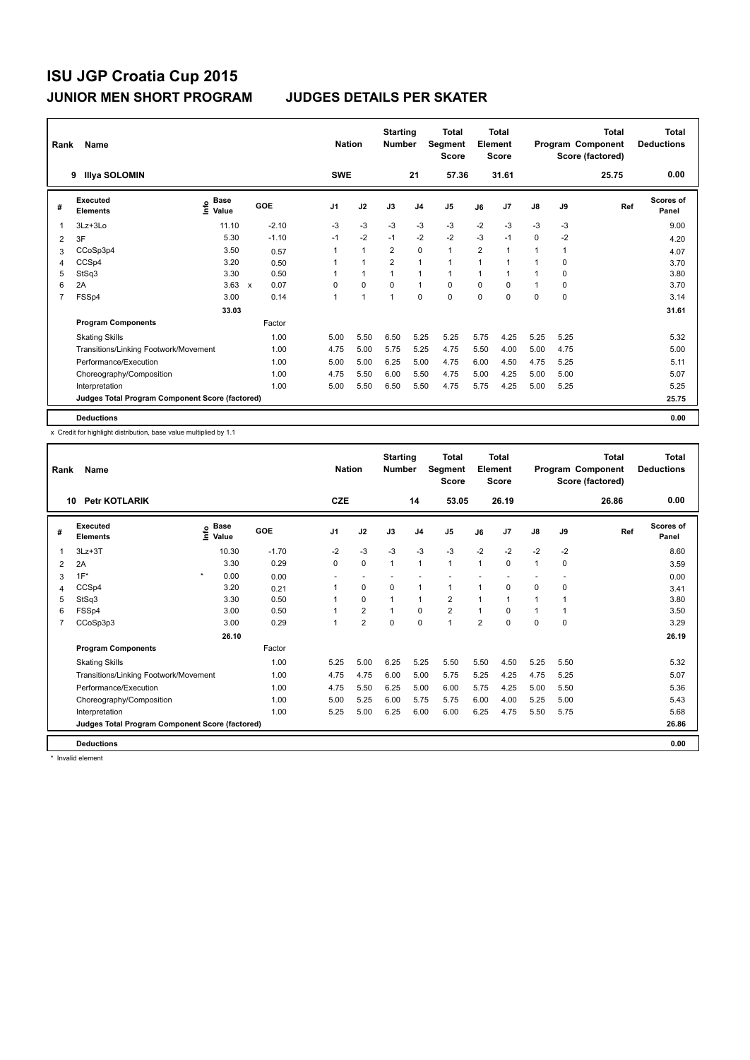| Rank           | Name                                            |                                    |                      |                | <b>Nation</b>  | <b>Starting</b><br><b>Number</b> |                | Total<br>Segment<br><b>Score</b> |                | <b>Total</b><br>Element<br><b>Score</b> |               |      | <b>Total</b><br>Program Component<br>Score (factored) | <b>Total</b><br><b>Deductions</b> |
|----------------|-------------------------------------------------|------------------------------------|----------------------|----------------|----------------|----------------------------------|----------------|----------------------------------|----------------|-----------------------------------------|---------------|------|-------------------------------------------------------|-----------------------------------|
|                | <b>Illya SOLOMIN</b><br>9                       |                                    |                      | <b>SWE</b>     |                |                                  | 21             | 57.36                            |                | 31.61                                   |               |      | 25.75                                                 | 0.00                              |
| #              | Executed<br><b>Elements</b>                     | <b>Base</b><br>$\frac{6}{5}$ Value | GOE                  | J <sub>1</sub> | J2             | J3                               | J <sub>4</sub> | J <sub>5</sub>                   | J6             | J7                                      | $\mathsf{J}8$ | J9   | Ref                                                   | Scores of<br>Panel                |
| $\mathbf 1$    | $3Lz + 3Lo$                                     | 11.10                              | $-2.10$              | $-3$           | $-3$           | $-3$                             | $-3$           | $-3$                             | $-2$           | $-3$                                    | $-3$          | -3   |                                                       | 9.00                              |
| 2              | 3F                                              | 5.30                               | $-1.10$              | $-1$           | $-2$           | $-1$                             | $-2$           | $-2$                             | $-3$           | $-1$                                    | 0             | $-2$ |                                                       | 4.20                              |
| 3              | CCoSp3p4                                        | 3.50                               | 0.57                 | 1              | 1              | $\overline{2}$                   | $\mathbf 0$    | $\mathbf{1}$                     | $\overline{2}$ |                                         | 1             | 1    |                                                       | 4.07                              |
| 4              | CCSp4                                           | 3.20                               | 0.50                 |                | 1              | $\overline{2}$                   | $\mathbf{1}$   | $\mathbf{1}$                     | $\overline{1}$ |                                         |               | 0    |                                                       | 3.70                              |
| 5              | StSq3                                           | 3.30                               | 0.50                 |                | $\mathbf{1}$   |                                  | $\overline{1}$ | $\mathbf{1}$                     |                |                                         |               | 0    |                                                       | 3.80                              |
| 6              | 2A                                              | 3.63                               | 0.07<br>$\mathsf{x}$ | $\Omega$       | $\mathbf 0$    | $\mathbf 0$                      | $\mathbf{1}$   | $\mathbf 0$                      | $\Omega$       | 0                                       | $\mathbf 1$   | 0    |                                                       | 3.70                              |
| $\overline{7}$ | FSSp4                                           | 3.00                               | 0.14                 | 1              | $\overline{1}$ | $\overline{1}$                   | $\mathbf 0$    | $\mathbf 0$                      | 0              | 0                                       | 0             | 0    |                                                       | 3.14                              |
|                |                                                 | 33.03                              |                      |                |                |                                  |                |                                  |                |                                         |               |      |                                                       | 31.61                             |
|                | <b>Program Components</b>                       |                                    | Factor               |                |                |                                  |                |                                  |                |                                         |               |      |                                                       |                                   |
|                | <b>Skating Skills</b>                           |                                    | 1.00                 | 5.00           | 5.50           | 6.50                             | 5.25           | 5.25                             | 5.75           | 4.25                                    | 5.25          | 5.25 |                                                       | 5.32                              |
|                | Transitions/Linking Footwork/Movement           |                                    | 1.00                 | 4.75           | 5.00           | 5.75                             | 5.25           | 4.75                             | 5.50           | 4.00                                    | 5.00          | 4.75 |                                                       | 5.00                              |
|                | Performance/Execution                           |                                    | 1.00                 | 5.00           | 5.00           | 6.25                             | 5.00           | 4.75                             | 6.00           | 4.50                                    | 4.75          | 5.25 |                                                       | 5.11                              |
|                | Choreography/Composition                        |                                    | 1.00                 | 4.75           | 5.50           | 6.00                             | 5.50           | 4.75                             | 5.00           | 4.25                                    | 5.00          | 5.00 |                                                       | 5.07                              |
|                | Interpretation                                  |                                    | 1.00                 | 5.00           | 5.50           | 6.50                             | 5.50           | 4.75                             | 5.75           | 4.25                                    | 5.00          | 5.25 |                                                       | 5.25                              |
|                | Judges Total Program Component Score (factored) |                                    |                      |                |                |                                  |                |                                  |                |                                         |               |      |                                                       | 25.75                             |
|                | <b>Deductions</b>                               |                                    |                      |                |                |                                  |                |                                  |                |                                         |               |      |                                                       | 0.00                              |

x Credit for highlight distribution, base value multiplied by 1.1

| Rank | <b>Name</b>                                     |                              |         | <b>Nation</b>  |                         | <b>Starting</b><br><b>Number</b> |                | <b>Total</b><br><b>Segment</b><br><b>Score</b> |                | <b>Total</b><br>Element<br><b>Score</b> |      |      | <b>Total</b><br>Program Component<br>Score (factored) | <b>Total</b><br><b>Deductions</b> |
|------|-------------------------------------------------|------------------------------|---------|----------------|-------------------------|----------------------------------|----------------|------------------------------------------------|----------------|-----------------------------------------|------|------|-------------------------------------------------------|-----------------------------------|
|      | <b>Petr KOTLARIK</b><br>10                      |                              |         | <b>CZE</b>     |                         |                                  | 14             | 53.05                                          |                | 26.19                                   |      |      | 26.86                                                 | 0.00                              |
| #    | Executed<br><b>Elements</b>                     | <b>Base</b><br>١rfo<br>Value | GOE     | J <sub>1</sub> | J2                      | J3                               | J <sub>4</sub> | J <sub>5</sub>                                 | J6             | J <sub>7</sub>                          | J8   | J9   | Ref                                                   | <b>Scores of</b><br>Panel         |
| 1    | $3Lz + 3T$                                      | 10.30                        | $-1.70$ | $-2$           | $-3$                    | $-3$                             | $-3$           | $-3$                                           | $-2$           | $-2$                                    | $-2$ | $-2$ |                                                       | 8.60                              |
| 2    | 2A                                              | 3.30                         | 0.29    | 0              | 0                       | $\mathbf{1}$                     | 1              | $\mathbf{1}$                                   | 1              | $\mathbf 0$                             | 1    | 0    |                                                       | 3.59                              |
| 3    | $1F^*$                                          | $\star$<br>0.00              | 0.00    |                |                         |                                  |                |                                                |                |                                         |      |      |                                                       | 0.00                              |
| 4    | CCSp4                                           | 3.20                         | 0.21    |                | 0                       | 0                                | 1              | 1                                              | 1              | $\mathbf 0$                             | 0    | 0    |                                                       | 3.41                              |
| 5    | StSq3                                           | 3.30                         | 0.50    |                | $\Omega$                | 1                                | 1              | $\overline{2}$                                 | 1              | $\overline{1}$                          | 1    |      |                                                       | 3.80                              |
| 6    | FSSp4                                           | 3.00                         | 0.50    |                | $\overline{2}$          | 1                                | $\mathbf 0$    | $\overline{2}$                                 |                | $\Omega$                                |      |      |                                                       | 3.50                              |
| 7    | CCoSp3p3                                        | 3.00                         | 0.29    |                | $\overline{\mathbf{c}}$ | 0                                | 0              | 1                                              | $\overline{2}$ | 0                                       | 0    | 0    |                                                       | 3.29                              |
|      |                                                 | 26.10                        |         |                |                         |                                  |                |                                                |                |                                         |      |      |                                                       | 26.19                             |
|      | <b>Program Components</b>                       |                              | Factor  |                |                         |                                  |                |                                                |                |                                         |      |      |                                                       |                                   |
|      | <b>Skating Skills</b>                           |                              | 1.00    | 5.25           | 5.00                    | 6.25                             | 5.25           | 5.50                                           | 5.50           | 4.50                                    | 5.25 | 5.50 |                                                       | 5.32                              |
|      | Transitions/Linking Footwork/Movement           |                              | 1.00    | 4.75           | 4.75                    | 6.00                             | 5.00           | 5.75                                           | 5.25           | 4.25                                    | 4.75 | 5.25 |                                                       | 5.07                              |
|      | Performance/Execution                           |                              | 1.00    | 4.75           | 5.50                    | 6.25                             | 5.00           | 6.00                                           | 5.75           | 4.25                                    | 5.00 | 5.50 |                                                       | 5.36                              |
|      | Choreography/Composition                        |                              | 1.00    | 5.00           | 5.25                    | 6.00                             | 5.75           | 5.75                                           | 6.00           | 4.00                                    | 5.25 | 5.00 |                                                       | 5.43                              |
|      | Interpretation                                  |                              | 1.00    | 5.25           | 5.00                    | 6.25                             | 6.00           | 6.00                                           | 6.25           | 4.75                                    | 5.50 | 5.75 |                                                       | 5.68                              |
|      | Judges Total Program Component Score (factored) |                              |         |                |                         |                                  |                |                                                |                |                                         |      |      |                                                       | 26.86                             |
|      | <b>Deductions</b>                               |                              |         |                |                         |                                  |                |                                                |                |                                         |      |      |                                                       | 0.00                              |

\* Invalid element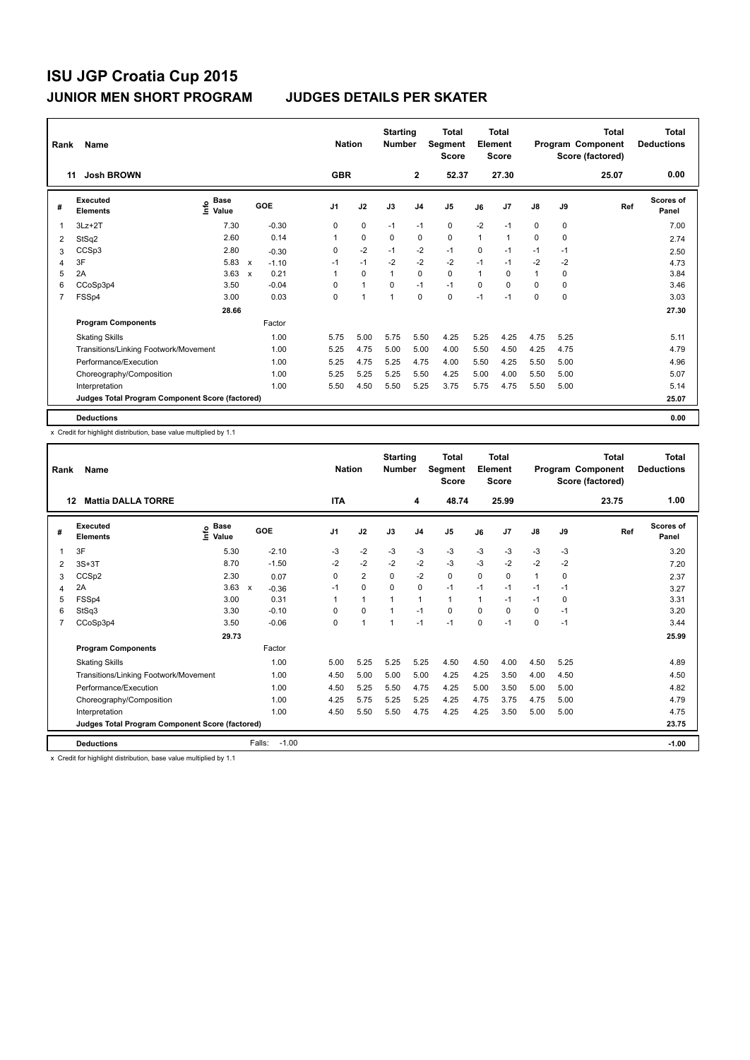| Rank           | Name                                            |                                    |                           |         |                | <b>Nation</b> |                | <b>Starting</b><br><b>Number</b> |                | Total<br>Segment<br><b>Score</b> |          | <b>Total</b><br>Element<br><b>Score</b> |               |      | <b>Total</b><br>Program Component<br>Score (factored) | <b>Total</b><br><b>Deductions</b> |
|----------------|-------------------------------------------------|------------------------------------|---------------------------|---------|----------------|---------------|----------------|----------------------------------|----------------|----------------------------------|----------|-----------------------------------------|---------------|------|-------------------------------------------------------|-----------------------------------|
|                | <b>Josh BROWN</b><br>11                         |                                    |                           |         |                | <b>GBR</b>    |                |                                  | $\mathbf{2}$   | 52.37                            |          | 27.30                                   |               |      | 25.07                                                 | 0.00                              |
| #              | Executed<br><b>Elements</b>                     | <b>Base</b><br>$\frac{6}{5}$ Value |                           | GOE     | J <sub>1</sub> |               | J2             | J3                               | J <sub>4</sub> | J <sub>5</sub>                   | J6       | J7                                      | $\mathsf{J}8$ | J9   | Ref                                                   | Scores of<br>Panel                |
| 1              | $3Lz + 2T$                                      | 7.30                               |                           | $-0.30$ | 0              |               | 0              | $-1$                             | $-1$           | 0                                | $-2$     | $-1$                                    | 0             | 0    |                                                       | 7.00                              |
| 2              | StSq2                                           | 2.60                               |                           | 0.14    |                |               | $\mathbf 0$    | $\mathbf 0$                      | $\mathbf 0$    | $\mathbf 0$                      | 1        | 1                                       | 0             | 0    |                                                       | 2.74                              |
| 3              | CCSp3                                           | 2.80                               |                           | $-0.30$ | 0              |               | $-2$           | $-1$                             | $-2$           | $-1$                             | 0        | $-1$                                    | $-1$          | -1   |                                                       | 2.50                              |
| 4              | 3F                                              | 5.83                               | $\boldsymbol{\mathsf{x}}$ | $-1.10$ | $-1$           |               | $-1$           | $-2$                             | $-2$           | $-2$                             | $-1$     | $-1$                                    | $-2$          | $-2$ |                                                       | 4.73                              |
| 5              | 2A                                              | 3.63                               | $\mathsf{x}$              | 0.21    | 1              |               | $\Omega$       | 1                                | $\Omega$       | $\Omega$                         | 1        | $\Omega$                                | 1             | 0    |                                                       | 3.84                              |
| 6              | CCoSp3p4                                        | 3.50                               |                           | $-0.04$ | $\Omega$       |               | $\mathbf{1}$   | $\Omega$                         | $-1$           | $-1$                             | $\Omega$ | $\Omega$                                | $\Omega$      | 0    |                                                       | 3.46                              |
| $\overline{7}$ | FSSp4                                           | 3.00                               |                           | 0.03    | 0              |               | $\overline{1}$ | 1                                | $\mathbf 0$    | $\mathbf 0$                      | $-1$     | $-1$                                    | 0             | 0    |                                                       | 3.03                              |
|                |                                                 | 28.66                              |                           |         |                |               |                |                                  |                |                                  |          |                                         |               |      |                                                       | 27.30                             |
|                | <b>Program Components</b>                       |                                    |                           | Factor  |                |               |                |                                  |                |                                  |          |                                         |               |      |                                                       |                                   |
|                | <b>Skating Skills</b>                           |                                    |                           | 1.00    | 5.75           |               | 5.00           | 5.75                             | 5.50           | 4.25                             | 5.25     | 4.25                                    | 4.75          | 5.25 |                                                       | 5.11                              |
|                | Transitions/Linking Footwork/Movement           |                                    |                           | 1.00    | 5.25           |               | 4.75           | 5.00                             | 5.00           | 4.00                             | 5.50     | 4.50                                    | 4.25          | 4.75 |                                                       | 4.79                              |
|                | Performance/Execution                           |                                    |                           | 1.00    | 5.25           |               | 4.75           | 5.25                             | 4.75           | 4.00                             | 5.50     | 4.25                                    | 5.50          | 5.00 |                                                       | 4.96                              |
|                | Choreography/Composition                        |                                    |                           | 1.00    | 5.25           |               | 5.25           | 5.25                             | 5.50           | 4.25                             | 5.00     | 4.00                                    | 5.50          | 5.00 |                                                       | 5.07                              |
|                | Interpretation                                  |                                    |                           | 1.00    | 5.50           |               | 4.50           | 5.50                             | 5.25           | 3.75                             | 5.75     | 4.75                                    | 5.50          | 5.00 |                                                       | 5.14                              |
|                | Judges Total Program Component Score (factored) |                                    |                           |         |                |               |                |                                  |                |                                  |          |                                         |               |      |                                                       | 25.07                             |
|                | <b>Deductions</b>                               |                                    |                           |         |                |               |                |                                  |                |                                  |          |                                         |               |      |                                                       | 0.00                              |

x Credit for highlight distribution, base value multiplied by 1.1

| Rank | Name                                            |                            |                         | <b>Nation</b> |                      | <b>Starting</b><br><b>Number</b> |                | <b>Total</b><br>Segment<br><b>Score</b> |          | <b>Total</b><br>Element<br><b>Score</b> |              |      | <b>Total</b><br>Program Component<br>Score (factored) | <b>Total</b><br><b>Deductions</b> |
|------|-------------------------------------------------|----------------------------|-------------------------|---------------|----------------------|----------------------------------|----------------|-----------------------------------------|----------|-----------------------------------------|--------------|------|-------------------------------------------------------|-----------------------------------|
| 12   | <b>Mattia DALLA TORRE</b>                       |                            |                         | <b>ITA</b>    |                      |                                  | 4              | 48.74                                   |          | 25.99                                   |              |      | 23.75                                                 | 1.00                              |
| #    | <b>Executed</b><br><b>Elements</b>              | <b>Base</b><br>۴ů<br>Value | GOE                     | J1            | J2                   | J3                               | J <sub>4</sub> | J <sub>5</sub>                          | J6       | J <sub>7</sub>                          | J8           | J9   | Ref                                                   | <b>Scores of</b><br>Panel         |
| 1    | 3F                                              | 5.30                       | $-2.10$                 | $-3$          | $-2$                 | $-3$                             | $-3$           | $-3$                                    | $-3$     | $-3$                                    | $-3$         | $-3$ |                                                       | 3.20                              |
| 2    | $3S+3T$                                         | 8.70                       | $-1.50$                 | $-2$          | $-2$                 | $-2$                             | $-2$           | $-3$                                    | $-3$     | $-2$                                    | $-2$         | $-2$ |                                                       | 7.20                              |
| 3    | CCS <sub>p2</sub>                               | 2.30                       | 0.07                    | 0             | $\overline{2}$       | 0                                | $-2$           | 0                                       | 0        | 0                                       | $\mathbf{1}$ | 0    |                                                       | 2.37                              |
| 4    | 2A                                              | 3.63                       | $\mathsf{x}$<br>$-0.36$ | $-1$          | 0                    | $\Omega$                         | 0              | $-1$                                    | $-1$     | $-1$                                    | $-1$         | $-1$ |                                                       | 3.27                              |
| 5    | FSSp4                                           | 3.00                       | 0.31                    |               | $\mathbf{1}$         |                                  | 1              | $\blacktriangleleft$                    | 1        | $-1$                                    | $-1$         | 0    |                                                       | 3.31                              |
| 6    | StSq3                                           | 3.30                       | $-0.10$                 | 0             | $\Omega$             |                                  | $-1$           | 0                                       | $\Omega$ | $\Omega$                                | 0            | $-1$ |                                                       | 3.20                              |
|      | CCoSp3p4                                        | 3.50                       | $-0.06$                 | $\Omega$      | $\blacktriangleleft$ | 1                                | $-1$           | $-1$                                    | $\Omega$ | $-1$                                    | 0            | $-1$ |                                                       | 3.44                              |
|      |                                                 | 29.73                      |                         |               |                      |                                  |                |                                         |          |                                         |              |      |                                                       | 25.99                             |
|      | <b>Program Components</b>                       |                            | Factor                  |               |                      |                                  |                |                                         |          |                                         |              |      |                                                       |                                   |
|      | <b>Skating Skills</b>                           |                            | 1.00                    | 5.00          | 5.25                 | 5.25                             | 5.25           | 4.50                                    | 4.50     | 4.00                                    | 4.50         | 5.25 |                                                       | 4.89                              |
|      | Transitions/Linking Footwork/Movement           |                            | 1.00                    | 4.50          | 5.00                 | 5.00                             | 5.00           | 4.25                                    | 4.25     | 3.50                                    | 4.00         | 4.50 |                                                       | 4.50                              |
|      | Performance/Execution                           |                            | 1.00                    | 4.50          | 5.25                 | 5.50                             | 4.75           | 4.25                                    | 5.00     | 3.50                                    | 5.00         | 5.00 |                                                       | 4.82                              |
|      | Choreography/Composition                        |                            | 1.00                    | 4.25          | 5.75                 | 5.25                             | 5.25           | 4.25                                    | 4.75     | 3.75                                    | 4.75         | 5.00 |                                                       | 4.79                              |
|      | Interpretation                                  |                            | 1.00                    | 4.50          | 5.50                 | 5.50                             | 4.75           | 4.25                                    | 4.25     | 3.50                                    | 5.00         | 5.00 |                                                       | 4.75                              |
|      | Judges Total Program Component Score (factored) |                            |                         |               |                      |                                  |                |                                         |          |                                         |              |      |                                                       | 23.75                             |
|      | <b>Deductions</b>                               |                            | Falls:<br>$-1.00$       |               |                      |                                  |                |                                         |          |                                         |              |      |                                                       | $-1.00$                           |

x Credit for highlight distribution, base value multiplied by 1.1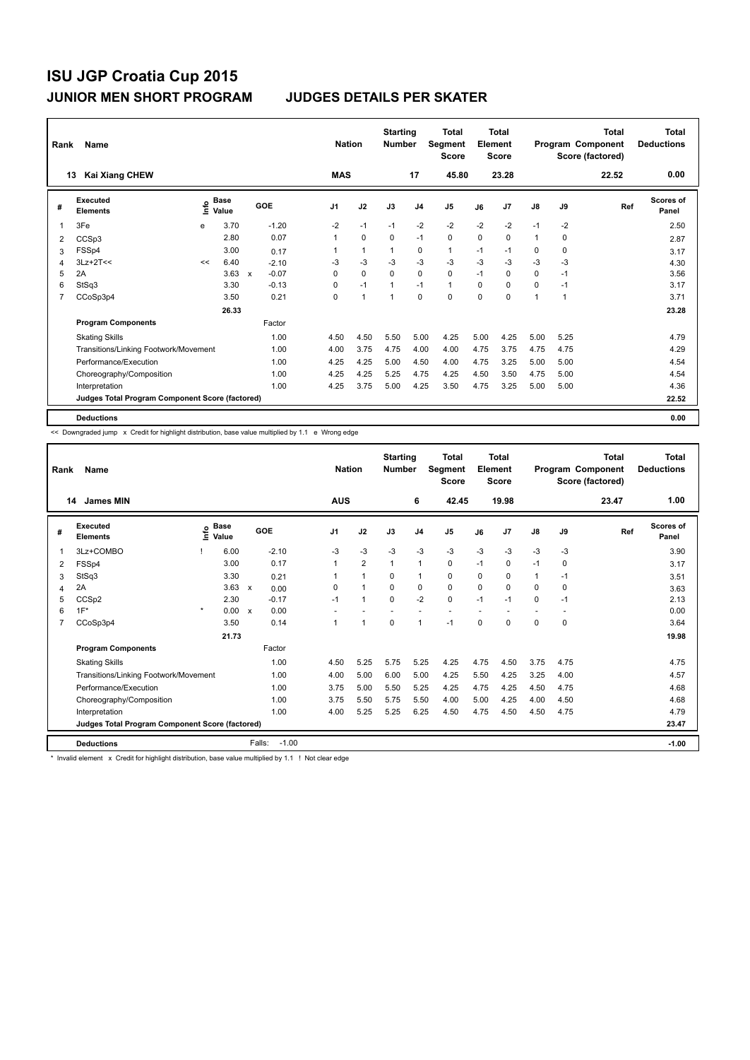| Rank | Name                                            |      |                      |                           |         | <b>Nation</b> |              | <b>Starting</b><br><b>Number</b> |                | <b>Total</b><br>Segment<br><b>Score</b> |          | <b>Total</b><br>Element<br><b>Score</b> |               |      | <b>Total</b><br>Program Component<br>Score (factored) | <b>Total</b><br><b>Deductions</b> |
|------|-------------------------------------------------|------|----------------------|---------------------------|---------|---------------|--------------|----------------------------------|----------------|-----------------------------------------|----------|-----------------------------------------|---------------|------|-------------------------------------------------------|-----------------------------------|
|      | <b>Kai Xiang CHEW</b><br>13                     |      |                      |                           |         | <b>MAS</b>    |              |                                  | 17             | 45.80                                   |          | 23.28                                   |               |      | 22.52                                                 | 0.00                              |
| #    | <b>Executed</b><br><b>Elements</b>              | ١nfo | <b>Base</b><br>Value | GOE                       |         | J1            | J2           | J3                               | J <sub>4</sub> | J <sub>5</sub>                          | J6       | J7                                      | $\mathsf{J}8$ | J9   | Ref                                                   | <b>Scores of</b><br>Panel         |
|      | 3Fe                                             | e    | 3.70                 |                           | $-1.20$ | $-2$          | $-1$         | $-1$                             | $-2$           | $-2$                                    | $-2$     | $-2$                                    | $-1$          | $-2$ |                                                       | 2.50                              |
| 2    | CCSp3                                           |      | 2.80                 |                           | 0.07    | 1             | $\mathbf 0$  | 0                                | $-1$           | 0                                       | 0        | $\mathbf 0$                             | $\mathbf{1}$  | 0    |                                                       | 2.87                              |
| 3    | FSSp4                                           |      | 3.00                 |                           | 0.17    | 1             | $\mathbf{1}$ | 1                                | 0              | $\mathbf{1}$                            | $-1$     | $-1$                                    | 0             | 0    |                                                       | 3.17                              |
| 4    | $3Lz+2T<<$                                      | <<   | 6.40                 |                           | $-2.10$ | -3            | $-3$         | -3                               | $-3$           | $-3$                                    | $-3$     | $-3$                                    | $-3$          | -3   |                                                       | 4.30                              |
| 5    | 2A                                              |      | 3.63                 | $\boldsymbol{\mathsf{x}}$ | $-0.07$ | $\Omega$      | $\mathbf 0$  | $\Omega$                         | $\Omega$       | $\Omega$                                | $-1$     | $\Omega$                                | $\Omega$      | $-1$ |                                                       | 3.56                              |
| 6    | StSq3                                           |      | 3.30                 |                           | $-0.13$ | $\Omega$      | $-1$         | $\mathbf{1}$                     | $-1$           | $\mathbf{1}$                            | $\Omega$ | $\Omega$                                | 0             | $-1$ |                                                       | 3.17                              |
| 7    | CCoSp3p4                                        |      | 3.50                 |                           | 0.21    | 0             | $\mathbf{1}$ | $\mathbf{1}$                     | $\mathbf 0$    | $\Omega$                                | 0        | 0                                       | 1             | 1    |                                                       | 3.71                              |
|      |                                                 |      | 26.33                |                           |         |               |              |                                  |                |                                         |          |                                         |               |      |                                                       | 23.28                             |
|      | <b>Program Components</b>                       |      |                      |                           | Factor  |               |              |                                  |                |                                         |          |                                         |               |      |                                                       |                                   |
|      | <b>Skating Skills</b>                           |      |                      |                           | 1.00    | 4.50          | 4.50         | 5.50                             | 5.00           | 4.25                                    | 5.00     | 4.25                                    | 5.00          | 5.25 |                                                       | 4.79                              |
|      | Transitions/Linking Footwork/Movement           |      |                      |                           | 1.00    | 4.00          | 3.75         | 4.75                             | 4.00           | 4.00                                    | 4.75     | 3.75                                    | 4.75          | 4.75 |                                                       | 4.29                              |
|      | Performance/Execution                           |      |                      |                           | 1.00    | 4.25          | 4.25         | 5.00                             | 4.50           | 4.00                                    | 4.75     | 3.25                                    | 5.00          | 5.00 |                                                       | 4.54                              |
|      | Choreography/Composition                        |      |                      |                           | 1.00    | 4.25          | 4.25         | 5.25                             | 4.75           | 4.25                                    | 4.50     | 3.50                                    | 4.75          | 5.00 |                                                       | 4.54                              |
|      | Interpretation                                  |      |                      |                           | 1.00    | 4.25          | 3.75         | 5.00                             | 4.25           | 3.50                                    | 4.75     | 3.25                                    | 5.00          | 5.00 |                                                       | 4.36                              |
|      | Judges Total Program Component Score (factored) |      |                      |                           |         |               |              |                                  |                |                                         |          |                                         |               |      |                                                       | 22.52                             |
|      | <b>Deductions</b>                               |      |                      |                           |         |               |              |                                  |                |                                         |          |                                         |               |      |                                                       | 0.00                              |

<< Downgraded jump x Credit for highlight distribution, base value multiplied by 1.1 e Wrong edge

| Rank | Name<br>14<br><b>James MIN</b>                  |         |                      |                           |         | <b>Nation</b><br><b>AUS</b> |                      | <b>Starting</b><br><b>Number</b> | 6              | <b>Total</b><br>Segment<br><b>Score</b><br>42.45 |          | <b>Total</b><br>Element<br><b>Score</b><br>19.98 |               |             | <b>Total</b><br>Program Component<br>Score (factored)<br>23.47 | <b>Total</b><br><b>Deductions</b><br>1.00 |
|------|-------------------------------------------------|---------|----------------------|---------------------------|---------|-----------------------------|----------------------|----------------------------------|----------------|--------------------------------------------------|----------|--------------------------------------------------|---------------|-------------|----------------------------------------------------------------|-------------------------------------------|
| #    | Executed<br><b>Elements</b>                     | ۴٥      | <b>Base</b><br>Value |                           | GOE     | J <sub>1</sub>              | J2                   | J3                               | J <sub>4</sub> | J <sub>5</sub>                                   | J6       | J7                                               | $\mathsf{J}8$ | J9          | Ref                                                            | Scores of<br>Panel                        |
| 1    | 3Lz+COMBO                                       |         | 6.00                 |                           | $-2.10$ | $-3$                        | $-3$                 | $-3$                             | $-3$           | $-3$                                             | $-3$     | $-3$                                             | $-3$          | $-3$        |                                                                | 3.90                                      |
| 2    | FSSp4                                           |         | 3.00                 |                           | 0.17    |                             | $\overline{2}$       | $\mathbf{1}$                     | $\mathbf{1}$   | $\Omega$                                         | $-1$     | $\Omega$                                         | $-1$          | $\Omega$    |                                                                | 3.17                                      |
| 3    | StSq3                                           |         | 3.30                 |                           | 0.21    |                             | $\blacktriangleleft$ | $\Omega$                         | $\mathbf{1}$   | $\Omega$                                         | $\Omega$ | 0                                                | $\mathbf{1}$  | $-1$        |                                                                | 3.51                                      |
| 4    | 2A                                              |         | 3.63                 | $\mathsf{x}$              | 0.00    | 0                           | $\overline{1}$       | $\mathbf 0$                      | 0              | 0                                                | $\Omega$ | $\Omega$                                         | $\Omega$      | $\mathbf 0$ |                                                                | 3.63                                      |
| 5    | CCSp2                                           |         | 2.30                 |                           | $-0.17$ | $-1$                        | $\mathbf{1}$         | $\mathbf 0$                      | $-2$           | $\mathbf 0$                                      | $-1$     | $-1$                                             | 0             | $-1$        |                                                                | 2.13                                      |
| 6    | $1F^*$                                          | $\star$ | 0.00                 | $\boldsymbol{\mathsf{x}}$ | 0.00    | ٠                           |                      | $\overline{\phantom{a}}$         |                | $\overline{\phantom{a}}$                         |          |                                                  | $\sim$        |             |                                                                | 0.00                                      |
| 7    | CCoSp3p4                                        |         | 3.50                 |                           | 0.14    |                             | $\blacktriangleleft$ | $\Omega$                         | $\mathbf{1}$   | $-1$                                             | 0        | 0                                                | 0             | $\mathbf 0$ |                                                                | 3.64                                      |
|      |                                                 |         | 21.73                |                           |         |                             |                      |                                  |                |                                                  |          |                                                  |               |             |                                                                | 19.98                                     |
|      | <b>Program Components</b>                       |         |                      |                           | Factor  |                             |                      |                                  |                |                                                  |          |                                                  |               |             |                                                                |                                           |
|      | <b>Skating Skills</b>                           |         |                      |                           | 1.00    | 4.50                        | 5.25                 | 5.75                             | 5.25           | 4.25                                             | 4.75     | 4.50                                             | 3.75          | 4.75        |                                                                | 4.75                                      |
|      | Transitions/Linking Footwork/Movement           |         |                      |                           | 1.00    | 4.00                        | 5.00                 | 6.00                             | 5.00           | 4.25                                             | 5.50     | 4.25                                             | 3.25          | 4.00        |                                                                | 4.57                                      |
|      | Performance/Execution                           |         |                      |                           | 1.00    | 3.75                        | 5.00                 | 5.50                             | 5.25           | 4.25                                             | 4.75     | 4.25                                             | 4.50          | 4.75        |                                                                | 4.68                                      |
|      | Choreography/Composition                        |         |                      |                           | 1.00    | 3.75                        | 5.50                 | 5.75                             | 5.50           | 4.00                                             | 5.00     | 4.25                                             | 4.00          | 4.50        |                                                                | 4.68                                      |
|      | Interpretation                                  |         |                      |                           | 1.00    | 4.00                        | 5.25                 | 5.25                             | 6.25           | 4.50                                             | 4.75     | 4.50                                             | 4.50          | 4.75        |                                                                | 4.79                                      |
|      | Judges Total Program Component Score (factored) |         |                      |                           |         |                             |                      |                                  |                |                                                  |          |                                                  |               |             |                                                                | 23.47                                     |
|      | <b>Deductions</b>                               |         |                      | Falls:                    | $-1.00$ |                             |                      |                                  |                |                                                  |          |                                                  |               |             |                                                                | $-1.00$                                   |

\* Invalid element x Credit for highlight distribution, base value multiplied by 1.1 ! Not clear edge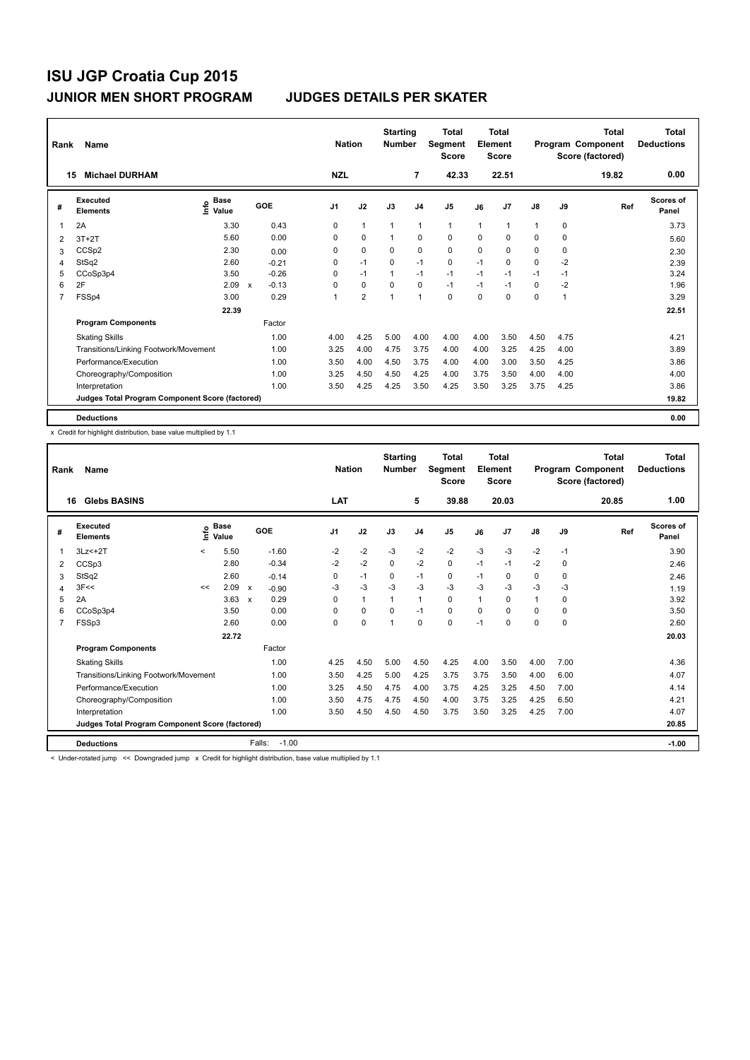| Rank           | Name                                            |                                    |                        |                | <b>Nation</b>  | <b>Starting</b><br><b>Number</b> |                | <b>Total</b><br>Segment<br><b>Score</b> |      | <b>Total</b><br>Element<br><b>Score</b> |               |             | <b>Total</b><br>Program Component<br>Score (factored) | <b>Total</b><br><b>Deductions</b> |
|----------------|-------------------------------------------------|------------------------------------|------------------------|----------------|----------------|----------------------------------|----------------|-----------------------------------------|------|-----------------------------------------|---------------|-------------|-------------------------------------------------------|-----------------------------------|
| 15             | <b>Michael DURHAM</b>                           |                                    |                        | <b>NZL</b>     |                |                                  | $\overline{7}$ | 42.33                                   |      | 22.51                                   |               |             | 19.82                                                 | 0.00                              |
| #              | Executed<br><b>Elements</b>                     | <b>Base</b><br>$\frac{6}{5}$ Value | GOE                    | J <sub>1</sub> | J2             | J3                               | J <sub>4</sub> | J <sub>5</sub>                          | J6   | J7                                      | $\mathsf{J}8$ | J9          | Ref                                                   | <b>Scores of</b><br>Panel         |
| 1              | 2A                                              | 3.30                               | 0.43                   | 0              | $\mathbf{1}$   | $\mathbf{1}$                     | $\mathbf{1}$   | $\mathbf{1}$                            | 1    | 1                                       | $\mathbf{1}$  | $\mathbf 0$ |                                                       | 3.73                              |
| 2              | $3T+2T$                                         | 5.60                               | 0.00                   | 0              | $\mathbf 0$    | $\mathbf{1}$                     | $\mathbf 0$    | $\mathbf 0$                             | 0    | 0                                       | 0             | 0           |                                                       | 5.60                              |
| 3              | CCS <sub>p2</sub>                               | 2.30                               | 0.00                   | 0              | $\mathbf 0$    | 0                                | 0              | 0                                       | 0    | 0                                       | 0             | 0           |                                                       | 2.30                              |
| 4              | StSq2                                           | 2.60                               | $-0.21$                | 0              | $-1$           | $\mathbf 0$                      | $-1$           | $\mathbf 0$                             | $-1$ | 0                                       | 0             | $-2$        |                                                       | 2.39                              |
| 5              | CCoSp3p4                                        | 3.50                               | $-0.26$                | 0              | $-1$           | $\overline{1}$                   | $-1$           | $-1$                                    | $-1$ | $-1$                                    | $-1$          | $-1$        |                                                       | 3.24                              |
| 6              | 2F                                              | 2.09                               | $-0.13$<br>$\mathbf x$ | 0              | $\mathbf 0$    | $\Omega$                         | $\mathbf 0$    | $-1$                                    | $-1$ | $-1$                                    | 0             | $-2$        |                                                       | 1.96                              |
| $\overline{7}$ | FSSp4                                           | 3.00                               | 0.29                   | 1              | $\overline{2}$ | 1                                | $\mathbf{1}$   | $\Omega$                                | 0    | 0                                       | 0             | 1           |                                                       | 3.29                              |
|                |                                                 | 22.39                              |                        |                |                |                                  |                |                                         |      |                                         |               |             |                                                       | 22.51                             |
|                | <b>Program Components</b>                       |                                    | Factor                 |                |                |                                  |                |                                         |      |                                         |               |             |                                                       |                                   |
|                | <b>Skating Skills</b>                           |                                    | 1.00                   | 4.00           | 4.25           | 5.00                             | 4.00           | 4.00                                    | 4.00 | 3.50                                    | 4.50          | 4.75        |                                                       | 4.21                              |
|                | Transitions/Linking Footwork/Movement           |                                    | 1.00                   | 3.25           | 4.00           | 4.75                             | 3.75           | 4.00                                    | 4.00 | 3.25                                    | 4.25          | 4.00        |                                                       | 3.89                              |
|                | Performance/Execution                           |                                    | 1.00                   | 3.50           | 4.00           | 4.50                             | 3.75           | 4.00                                    | 4.00 | 3.00                                    | 3.50          | 4.25        |                                                       | 3.86                              |
|                | Choreography/Composition                        |                                    | 1.00                   | 3.25           | 4.50           | 4.50                             | 4.25           | 4.00                                    | 3.75 | 3.50                                    | 4.00          | 4.00        |                                                       | 4.00                              |
|                | Interpretation                                  |                                    | 1.00                   | 3.50           | 4.25           | 4.25                             | 3.50           | 4.25                                    | 3.50 | 3.25                                    | 3.75          | 4.25        |                                                       | 3.86                              |
|                | Judges Total Program Component Score (factored) |                                    |                        |                |                |                                  |                |                                         |      |                                         |               |             |                                                       | 19.82                             |
|                | <b>Deductions</b>                               |                                    |                        |                |                |                                  |                |                                         |      |                                         |               |             |                                                       | 0.00                              |

x Credit for highlight distribution, base value multiplied by 1.1

| Rank           | Name                                            |         |                       |                           |                   | <b>Nation</b> |              | <b>Starting</b><br><b>Number</b> |                | <b>Total</b><br>Segment<br><b>Score</b> |              | <b>Total</b><br>Element<br><b>Score</b> |              |          | Total<br>Program Component<br>Score (factored) | <b>Total</b><br><b>Deductions</b> |
|----------------|-------------------------------------------------|---------|-----------------------|---------------------------|-------------------|---------------|--------------|----------------------------------|----------------|-----------------------------------------|--------------|-----------------------------------------|--------------|----------|------------------------------------------------|-----------------------------------|
|                | <b>Glebs BASINS</b><br>16                       |         |                       |                           |                   | LAT           |              |                                  | 5              | 39.88                                   |              | 20.03                                   |              |          | 20.85                                          | 1.00                              |
| #              | <b>Executed</b><br><b>Elements</b>              |         | $\sum_{i=1}^{n}$ Base |                           | GOE               | J1            | J2           | J3                               | J <sub>4</sub> | J <sub>5</sub>                          | J6           | J <sub>7</sub>                          | J8           | J9       | Ref                                            | <b>Scores of</b><br>Panel         |
| 1              | $3Lz<+2T$                                       | $\prec$ | 5.50                  |                           | $-1.60$           | $-2$          | $-2$         | $-3$                             | $-2$           | $-2$                                    | $-3$         | $-3$                                    | $-2$         | $-1$     |                                                | 3.90                              |
| 2              | CCSp3                                           |         | 2.80                  |                           | $-0.34$           | $-2$          | $-2$         | $\Omega$                         | $-2$           | 0                                       | $-1$         | $-1$                                    | $-2$         | 0        |                                                | 2.46                              |
| 3              | StSq2                                           |         | 2.60                  |                           | $-0.14$           | 0             | $-1$         | 0                                | $-1$           | 0                                       | $-1$         | 0                                       | 0            | 0        |                                                | 2.46                              |
| 4              | 3F<<                                            | <<      | 2.09                  | $\mathsf{x}$              | $-0.90$           | -3            | $-3$         | $-3$                             | $-3$           | $-3$                                    | $-3$         | -3                                      | $-3$         | -3       |                                                | 1.19                              |
| 5              | 2A                                              |         | 3.63                  | $\boldsymbol{\mathsf{x}}$ | 0.29              | 0             | $\mathbf{1}$ | 1                                | $\mathbf{1}$   | 0                                       | $\mathbf{1}$ | $\Omega$                                | $\mathbf{1}$ | $\Omega$ |                                                | 3.92                              |
| 6              | CCoSp3p4                                        |         | 3.50                  |                           | 0.00              | 0             | 0            | 0                                | $-1$           | 0                                       | $\Omega$     | $\Omega$                                | 0            | $\Omega$ |                                                | 3.50                              |
| $\overline{7}$ | FSSp3                                           |         | 2.60                  |                           | 0.00              | 0             | $\mathbf 0$  | 1                                | $\Omega$       | $\Omega$                                | $-1$         | $\Omega$                                | 0            | $\Omega$ |                                                | 2.60                              |
|                |                                                 |         | 22.72                 |                           |                   |               |              |                                  |                |                                         |              |                                         |              |          |                                                | 20.03                             |
|                | <b>Program Components</b>                       |         |                       |                           | Factor            |               |              |                                  |                |                                         |              |                                         |              |          |                                                |                                   |
|                | <b>Skating Skills</b>                           |         |                       |                           | 1.00              | 4.25          | 4.50         | 5.00                             | 4.50           | 4.25                                    | 4.00         | 3.50                                    | 4.00         | 7.00     |                                                | 4.36                              |
|                | Transitions/Linking Footwork/Movement           |         |                       |                           | 1.00              | 3.50          | 4.25         | 5.00                             | 4.25           | 3.75                                    | 3.75         | 3.50                                    | 4.00         | 6.00     |                                                | 4.07                              |
|                | Performance/Execution                           |         |                       |                           | 1.00              | 3.25          | 4.50         | 4.75                             | 4.00           | 3.75                                    | 4.25         | 3.25                                    | 4.50         | 7.00     |                                                | 4.14                              |
|                | Choreography/Composition                        |         |                       |                           | 1.00              | 3.50          | 4.75         | 4.75                             | 4.50           | 4.00                                    | 3.75         | 3.25                                    | 4.25         | 6.50     |                                                | 4.21                              |
|                | Interpretation                                  |         |                       |                           | 1.00              | 3.50          | 4.50         | 4.50                             | 4.50           | 3.75                                    | 3.50         | 3.25                                    | 4.25         | 7.00     |                                                | 4.07                              |
|                | Judges Total Program Component Score (factored) |         |                       |                           |                   |               |              |                                  |                |                                         |              |                                         |              |          |                                                | 20.85                             |
|                | <b>Deductions</b>                               |         |                       |                           | Falls:<br>$-1.00$ |               |              |                                  |                |                                         |              |                                         |              |          |                                                | $-1.00$                           |

< Under-rotated jump << Downgraded jump x Credit for highlight distribution, base value multiplied by 1.1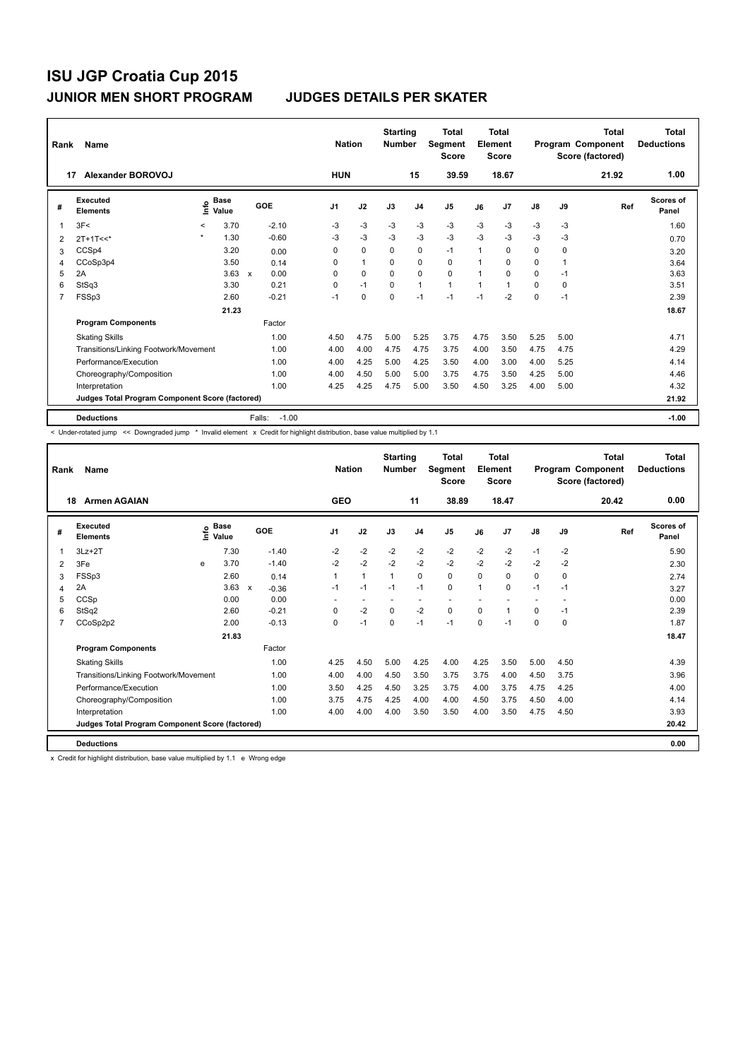| Rank | Name                                            |           |                      |                           |         | <b>Nation</b>  |              | <b>Starting</b><br><b>Number</b> |                | Total<br>Segment<br><b>Score</b> |                | <b>Total</b><br>Element<br><b>Score</b> |          |      | <b>Total</b><br>Program Component<br>Score (factored) | <b>Total</b><br><b>Deductions</b> |
|------|-------------------------------------------------|-----------|----------------------|---------------------------|---------|----------------|--------------|----------------------------------|----------------|----------------------------------|----------------|-----------------------------------------|----------|------|-------------------------------------------------------|-----------------------------------|
| 17   | Alexander BOROVOJ                               |           |                      |                           |         | <b>HUN</b>     |              |                                  | 15             | 39.59                            |                | 18.67                                   |          |      | 21.92                                                 | 1.00                              |
| #    | Executed<br><b>Elements</b>                     | ۴ů        | <b>Base</b><br>Value |                           | GOE     | J <sub>1</sub> | J2           | J3                               | J <sub>4</sub> | J <sub>5</sub>                   | J6             | J7                                      | J8       | J9   | Ref                                                   | <b>Scores of</b><br>Panel         |
| 1    | 3F<                                             | $\prec$   | 3.70                 |                           | $-2.10$ | -3             | -3           | -3                               | -3             | -3                               | -3             | $-3$                                    | $-3$     | -3   |                                                       | 1.60                              |
| 2    | $2T+1T<<$                                       | $\bullet$ | 1.30                 |                           | $-0.60$ | $-3$           | $-3$         | $-3$                             | $-3$           | $-3$                             | $-3$           | $-3$                                    | $-3$     | $-3$ |                                                       | 0.70                              |
| 3    | CCSp4                                           |           | 3.20                 |                           | 0.00    | 0              | 0            | $\Omega$                         | 0              | $-1$                             | 1              | 0                                       | 0        | 0    |                                                       | 3.20                              |
| 4    | CCoSp3p4                                        |           | 3.50                 |                           | 0.14    | $\Omega$       | $\mathbf{1}$ | $\Omega$                         | 0              | 0                                | 1              | 0                                       | 0        |      |                                                       | 3.64                              |
| 5    | 2A                                              |           | 3.63                 | $\boldsymbol{\mathsf{x}}$ | 0.00    | $\Omega$       | $\mathbf 0$  | $\Omega$                         | $\mathbf 0$    | $\Omega$                         | $\overline{1}$ | $\Omega$                                | $\Omega$ | $-1$ |                                                       | 3.63                              |
| 6    | StSq3                                           |           | 3.30                 |                           | 0.21    | 0              | $-1$         | $\mathbf 0$                      | $\mathbf{1}$   | $\mathbf{1}$                     | 1              | 1                                       | 0        | 0    |                                                       | 3.51                              |
| 7    | FSSp3                                           |           | 2.60                 |                           | $-0.21$ | $-1$           | 0            | 0                                | $-1$           | $-1$                             | $-1$           | $-2$                                    | 0        | $-1$ |                                                       | 2.39                              |
|      |                                                 |           | 21.23                |                           |         |                |              |                                  |                |                                  |                |                                         |          |      |                                                       | 18.67                             |
|      | <b>Program Components</b>                       |           |                      |                           | Factor  |                |              |                                  |                |                                  |                |                                         |          |      |                                                       |                                   |
|      | <b>Skating Skills</b>                           |           |                      |                           | 1.00    | 4.50           | 4.75         | 5.00                             | 5.25           | 3.75                             | 4.75           | 3.50                                    | 5.25     | 5.00 |                                                       | 4.71                              |
|      | Transitions/Linking Footwork/Movement           |           |                      |                           | 1.00    | 4.00           | 4.00         | 4.75                             | 4.75           | 3.75                             | 4.00           | 3.50                                    | 4.75     | 4.75 |                                                       | 4.29                              |
|      | Performance/Execution                           |           |                      |                           | 1.00    | 4.00           | 4.25         | 5.00                             | 4.25           | 3.50                             | 4.00           | 3.00                                    | 4.00     | 5.25 |                                                       | 4.14                              |
|      | Choreography/Composition                        |           |                      |                           | 1.00    | 4.00           | 4.50         | 5.00                             | 5.00           | 3.75                             | 4.75           | 3.50                                    | 4.25     | 5.00 |                                                       | 4.46                              |
|      | Interpretation                                  |           |                      |                           | 1.00    | 4.25           | 4.25         | 4.75                             | 5.00           | 3.50                             | 4.50           | 3.25                                    | 4.00     | 5.00 |                                                       | 4.32                              |
|      | Judges Total Program Component Score (factored) |           |                      |                           |         |                |              |                                  |                |                                  |                |                                         |          |      |                                                       | 21.92                             |
|      | <b>Deductions</b>                               |           |                      | Falls:                    | $-1.00$ |                |              |                                  |                |                                  |                |                                         |          |      |                                                       | $-1.00$                           |

< Under-rotated jump << Downgraded jump \* Invalid element x Credit for highlight distribution, base value multiplied by 1.1

| Rank           | Name                                            |   |                                  |                           |         | <b>Nation</b>  |                          | <b>Starting</b><br><b>Number</b> |                          | <b>Total</b><br>Segment<br><b>Score</b> |          | Total<br>Element<br><b>Score</b> |               |             | <b>Total</b><br>Program Component<br>Score (factored) | <b>Total</b><br><b>Deductions</b> |
|----------------|-------------------------------------------------|---|----------------------------------|---------------------------|---------|----------------|--------------------------|----------------------------------|--------------------------|-----------------------------------------|----------|----------------------------------|---------------|-------------|-------------------------------------------------------|-----------------------------------|
| 18             | <b>Armen AGAIAN</b>                             |   |                                  |                           |         | <b>GEO</b>     |                          |                                  | 11                       | 38.89                                   |          | 18.47                            |               |             | 20.42                                                 | 0.00                              |
| #              | Executed<br><b>Elements</b>                     |   | <b>Base</b><br>e Base<br>⊆ Value | GOE                       |         | J <sub>1</sub> | J2                       | J3                               | J <sub>4</sub>           | J <sub>5</sub>                          | J6       | J <sub>7</sub>                   | $\mathsf{J}8$ | J9          | Ref                                                   | <b>Scores of</b><br>Panel         |
| 1              | $3Lz + 2T$                                      |   | 7.30                             |                           | $-1.40$ | $-2$           | $-2$                     | $-2$                             | $-2$                     | $-2$                                    | $-2$     | $-2$                             | $-1$          | $-2$        |                                                       | 5.90                              |
| 2              | 3Fe                                             | e | 3.70                             |                           | $-1.40$ | $-2$           | $-2$                     | $-2$                             | $-2$                     | $-2$                                    | $-2$     | $-2$                             | $-2$          | $-2$        |                                                       | 2.30                              |
| 3              | FSSp3                                           |   | 2.60                             |                           | 0.14    | 1              | $\mathbf{1}$             | $\mathbf{1}$                     | $\Omega$                 | 0                                       | 0        | $\Omega$                         | 0             | $\Omega$    |                                                       | 2.74                              |
| 4              | 2A                                              |   | 3.63                             | $\boldsymbol{\mathsf{x}}$ | $-0.36$ | $-1$           | $-1$                     | $-1$                             | $-1$                     | 0                                       | 1        | $\Omega$                         | $-1$          | $-1$        |                                                       | 3.27                              |
| 5              | CCSp                                            |   | 0.00                             |                           | 0.00    |                | $\overline{\phantom{a}}$ |                                  | $\overline{\phantom{a}}$ |                                         |          |                                  |               |             |                                                       | 0.00                              |
| 6              | StSq2                                           |   | 2.60                             |                           | $-0.21$ | $\Omega$       | $-2$                     | $\mathbf{0}$                     | $-2$                     | $\Omega$                                | $\Omega$ | $\mathbf{1}$                     | 0             | $-1$        |                                                       | 2.39                              |
| $\overline{7}$ | CCoSp2p2                                        |   | 2.00                             |                           | $-0.13$ | 0              | $-1$                     | $\Omega$                         | $-1$                     | $-1$                                    | 0        | $-1$                             | 0             | $\mathbf 0$ |                                                       | 1.87                              |
|                |                                                 |   | 21.83                            |                           |         |                |                          |                                  |                          |                                         |          |                                  |               |             |                                                       | 18.47                             |
|                | <b>Program Components</b>                       |   |                                  |                           | Factor  |                |                          |                                  |                          |                                         |          |                                  |               |             |                                                       |                                   |
|                | <b>Skating Skills</b>                           |   |                                  |                           | 1.00    | 4.25           | 4.50                     | 5.00                             | 4.25                     | 4.00                                    | 4.25     | 3.50                             | 5.00          | 4.50        |                                                       | 4.39                              |
|                | Transitions/Linking Footwork/Movement           |   |                                  |                           | 1.00    | 4.00           | 4.00                     | 4.50                             | 3.50                     | 3.75                                    | 3.75     | 4.00                             | 4.50          | 3.75        |                                                       | 3.96                              |
|                | Performance/Execution                           |   |                                  |                           | 1.00    | 3.50           | 4.25                     | 4.50                             | 3.25                     | 3.75                                    | 4.00     | 3.75                             | 4.75          | 4.25        |                                                       | 4.00                              |
|                | Choreography/Composition                        |   |                                  |                           | 1.00    | 3.75           | 4.75                     | 4.25                             | 4.00                     | 4.00                                    | 4.50     | 3.75                             | 4.50          | 4.00        |                                                       | 4.14                              |
|                | Interpretation                                  |   |                                  |                           | 1.00    | 4.00           | 4.00                     | 4.00                             | 3.50                     | 3.50                                    | 4.00     | 3.50                             | 4.75          | 4.50        |                                                       | 3.93                              |
|                | Judges Total Program Component Score (factored) |   |                                  |                           |         |                |                          |                                  |                          |                                         |          |                                  |               |             |                                                       | 20.42                             |
|                | <b>Deductions</b>                               |   |                                  |                           |         |                |                          |                                  |                          |                                         |          |                                  |               |             |                                                       | 0.00                              |

x Credit for highlight distribution, base value multiplied by 1.1 e Wrong edge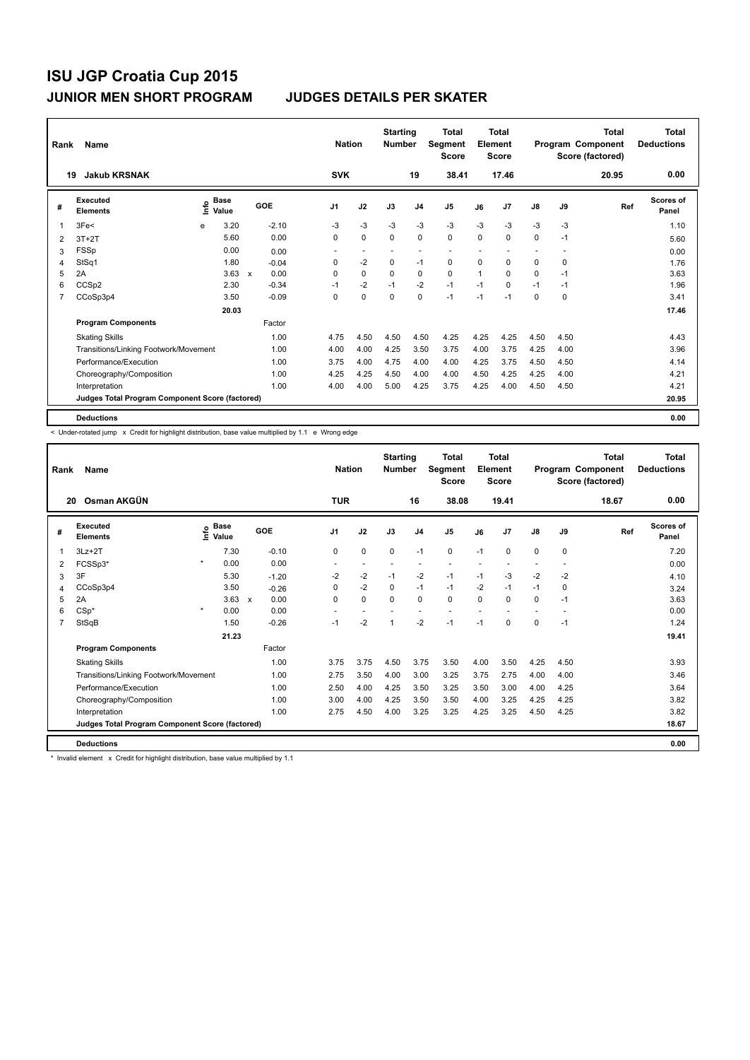| Rank | Name                                            |      |                      |                           |         |                | <b>Nation</b>            | <b>Starting</b><br><b>Number</b> |                | <b>Total</b><br>Segment<br><b>Score</b> |      | <b>Total</b><br>Element<br><b>Score</b> |                          |                          | <b>Total</b><br>Program Component<br>Score (factored) | <b>Total</b><br><b>Deductions</b> |
|------|-------------------------------------------------|------|----------------------|---------------------------|---------|----------------|--------------------------|----------------------------------|----------------|-----------------------------------------|------|-----------------------------------------|--------------------------|--------------------------|-------------------------------------------------------|-----------------------------------|
| 19   | <b>Jakub KRSNAK</b>                             |      |                      |                           |         | <b>SVK</b>     |                          |                                  | 19             | 38.41                                   |      | 17.46                                   |                          |                          | 20.95                                                 | 0.00                              |
| #    | Executed<br><b>Elements</b>                     | lnfo | <b>Base</b><br>Value |                           | GOE     | J <sub>1</sub> | J2                       | J3                               | J <sub>4</sub> | J <sub>5</sub>                          | J6   | J7                                      | J8                       | J9                       | Ref                                                   | Scores of<br>Panel                |
| 1    | 3Fe<                                            | e    | 3.20                 |                           | $-2.10$ | -3             | $-3$                     | $-3$                             | $-3$           | $-3$                                    | $-3$ | $-3$                                    | $-3$                     | -3                       |                                                       | 1.10                              |
| 2    | $3T+2T$                                         |      | 5.60                 |                           | 0.00    | 0              | $\mathbf 0$              | $\Omega$                         | $\mathbf 0$    | $\mathbf 0$                             | 0    | 0                                       | 0                        | $-1$                     |                                                       | 5.60                              |
| 3    | <b>FSSp</b>                                     |      | 0.00                 |                           | 0.00    | ٠              | $\overline{\phantom{a}}$ | ٠                                | ٠              | $\overline{\phantom{a}}$                |      |                                         | $\overline{\phantom{a}}$ | $\overline{\phantom{a}}$ |                                                       | 0.00                              |
| 4    | StSq1                                           |      | 1.80                 |                           | $-0.04$ | 0              | $-2$                     | $\mathbf 0$                      | $-1$           | 0                                       | 0    | 0                                       | 0                        | 0                        |                                                       | 1.76                              |
| 5    | 2A                                              |      | 3.63                 | $\boldsymbol{\mathsf{x}}$ | 0.00    | 0              | $\mathbf 0$              | $\Omega$                         | $\mathbf 0$    | 0                                       | 1    | $\Omega$                                | 0                        | $-1$                     |                                                       | 3.63                              |
| 6    | CCSp2                                           |      | 2.30                 |                           | $-0.34$ | $-1$           | $-2$                     | $-1$                             | $-2$           | $-1$                                    | $-1$ | $\Omega$                                | $-1$                     | $-1$                     |                                                       | 1.96                              |
| 7    | CCoSp3p4                                        |      | 3.50                 |                           | $-0.09$ | 0              | $\mathbf 0$              | $\mathbf 0$                      | $\mathbf 0$    | $-1$                                    | $-1$ | $-1$                                    | 0                        | $\mathbf 0$              |                                                       | 3.41                              |
|      |                                                 |      | 20.03                |                           |         |                |                          |                                  |                |                                         |      |                                         |                          |                          |                                                       | 17.46                             |
|      | <b>Program Components</b>                       |      |                      |                           | Factor  |                |                          |                                  |                |                                         |      |                                         |                          |                          |                                                       |                                   |
|      | <b>Skating Skills</b>                           |      |                      |                           | 1.00    | 4.75           | 4.50                     | 4.50                             | 4.50           | 4.25                                    | 4.25 | 4.25                                    | 4.50                     | 4.50                     |                                                       | 4.43                              |
|      | Transitions/Linking Footwork/Movement           |      |                      |                           | 1.00    | 4.00           | 4.00                     | 4.25                             | 3.50           | 3.75                                    | 4.00 | 3.75                                    | 4.25                     | 4.00                     |                                                       | 3.96                              |
|      | Performance/Execution                           |      |                      |                           | 1.00    | 3.75           | 4.00                     | 4.75                             | 4.00           | 4.00                                    | 4.25 | 3.75                                    | 4.50                     | 4.50                     |                                                       | 4.14                              |
|      | Choreography/Composition                        |      |                      |                           | 1.00    | 4.25           | 4.25                     | 4.50                             | 4.00           | 4.00                                    | 4.50 | 4.25                                    | 4.25                     | 4.00                     |                                                       | 4.21                              |
|      | Interpretation                                  |      |                      |                           | 1.00    | 4.00           | 4.00                     | 5.00                             | 4.25           | 3.75                                    | 4.25 | 4.00                                    | 4.50                     | 4.50                     |                                                       | 4.21                              |
|      | Judges Total Program Component Score (factored) |      |                      |                           |         |                |                          |                                  |                |                                         |      |                                         |                          |                          |                                                       | 20.95                             |
|      | <b>Deductions</b>                               |      |                      |                           |         |                |                          |                                  |                |                                         |      |                                         |                          |                          |                                                       | 0.00                              |

< Under-rotated jump x Credit for highlight distribution, base value multiplied by 1.1 e Wrong edge

| Rank | Name                                            |         |                                  |              |         | <b>Nation</b>  |                          | <b>Starting</b><br><b>Number</b> |                          | <b>Total</b><br>Segment<br><b>Score</b> |          | <b>Total</b><br>Element<br><b>Score</b> |               |      | <b>Total</b><br>Program Component<br>Score (factored) | Total<br><b>Deductions</b> |
|------|-------------------------------------------------|---------|----------------------------------|--------------|---------|----------------|--------------------------|----------------------------------|--------------------------|-----------------------------------------|----------|-----------------------------------------|---------------|------|-------------------------------------------------------|----------------------------|
| 20   | Osman AKGÜN                                     |         |                                  |              |         | <b>TUR</b>     |                          |                                  | 16                       | 38.08                                   |          | 19.41                                   |               |      | 18.67                                                 | 0.00                       |
| #    | Executed<br><b>Elements</b>                     |         | <b>Base</b><br>e Base<br>⊆ Value |              | GOE     | J <sub>1</sub> | J2                       | J3                               | J <sub>4</sub>           | J <sub>5</sub>                          | J6       | J7                                      | $\mathsf{J}8$ | J9   | Ref                                                   | Scores of<br>Panel         |
| 1    | $3Lz + 2T$                                      |         | 7.30                             |              | $-0.10$ | 0              | $\mathbf 0$              | 0                                | $-1$                     | $\mathbf 0$                             | $-1$     | $\Omega$                                | 0             | 0    |                                                       | 7.20                       |
| 2    | FCSSp3*                                         | $\star$ | 0.00                             |              | 0.00    | ٠              | $\overline{\phantom{a}}$ | $\overline{\phantom{a}}$         | ÷                        | $\overline{\phantom{a}}$                |          |                                         | $\sim$        |      |                                                       | 0.00                       |
| 3    | 3F                                              |         | 5.30                             |              | $-1.20$ | $-2$           | $-2$                     | $-1$                             | $-2$                     | $-1$                                    | $-1$     | $-3$                                    | $-2$          | $-2$ |                                                       | 4.10                       |
| 4    | CCoSp3p4                                        |         | 3.50                             |              | $-0.26$ | $\Omega$       | $-2$                     | $\Omega$                         | $-1$                     | $-1$                                    | $-2$     | $-1$                                    | $-1$          | 0    |                                                       | 3.24                       |
| 5    | 2A                                              |         | 3.63                             | $\mathsf{x}$ | 0.00    | $\Omega$       | $\mathbf 0$              | $\Omega$                         | $\mathbf 0$              | 0                                       | $\Omega$ | $\Omega$                                | $\Omega$      | $-1$ |                                                       | 3.63                       |
| 6    | $CSp*$                                          | $\star$ | 0.00                             |              | 0.00    | ٠              | $\overline{\phantom{a}}$ |                                  | $\overline{\phantom{a}}$ | $\sim$                                  |          |                                         | $\sim$        |      |                                                       | 0.00                       |
| 7    | StSqB                                           |         | 1.50                             |              | $-0.26$ | $-1$           | $-2$                     | 1                                | $-2$                     | $-1$                                    | $-1$     | $\mathbf 0$                             | 0             | $-1$ |                                                       | 1.24                       |
|      |                                                 |         | 21.23                            |              |         |                |                          |                                  |                          |                                         |          |                                         |               |      |                                                       | 19.41                      |
|      | <b>Program Components</b>                       |         |                                  |              | Factor  |                |                          |                                  |                          |                                         |          |                                         |               |      |                                                       |                            |
|      | <b>Skating Skills</b>                           |         |                                  |              | 1.00    | 3.75           | 3.75                     | 4.50                             | 3.75                     | 3.50                                    | 4.00     | 3.50                                    | 4.25          | 4.50 |                                                       | 3.93                       |
|      | Transitions/Linking Footwork/Movement           |         |                                  |              | 1.00    | 2.75           | 3.50                     | 4.00                             | 3.00                     | 3.25                                    | 3.75     | 2.75                                    | 4.00          | 4.00 |                                                       | 3.46                       |
|      | Performance/Execution                           |         |                                  |              | 1.00    | 2.50           | 4.00                     | 4.25                             | 3.50                     | 3.25                                    | 3.50     | 3.00                                    | 4.00          | 4.25 |                                                       | 3.64                       |
|      | Choreography/Composition                        |         |                                  |              | 1.00    | 3.00           | 4.00                     | 4.25                             | 3.50                     | 3.50                                    | 4.00     | 3.25                                    | 4.25          | 4.25 |                                                       | 3.82                       |
|      | Interpretation                                  |         |                                  |              | 1.00    | 2.75           | 4.50                     | 4.00                             | 3.25                     | 3.25                                    | 4.25     | 3.25                                    | 4.50          | 4.25 |                                                       | 3.82                       |
|      | Judges Total Program Component Score (factored) |         |                                  |              |         |                |                          |                                  |                          |                                         |          |                                         |               |      |                                                       | 18.67                      |
|      | <b>Deductions</b>                               |         |                                  |              |         |                |                          |                                  |                          |                                         |          |                                         |               |      |                                                       | 0.00                       |

\* Invalid element x Credit for highlight distribution, base value multiplied by 1.1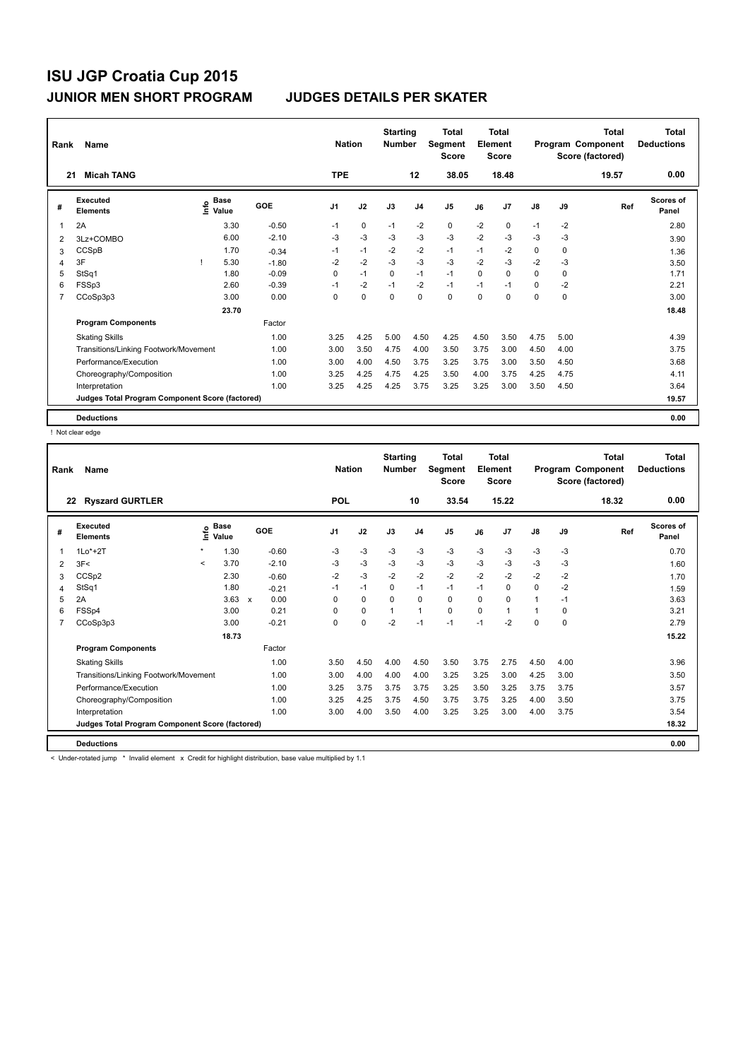| Rank           | Name                                            |                                    |         | <b>Nation</b>  |             | <b>Starting</b><br><b>Number</b> |                | Total<br>Segment<br><b>Score</b> |          | <b>Total</b><br>Element<br><b>Score</b> |               |      | <b>Total</b><br>Program Component<br>Score (factored) | <b>Total</b><br><b>Deductions</b> |
|----------------|-------------------------------------------------|------------------------------------|---------|----------------|-------------|----------------------------------|----------------|----------------------------------|----------|-----------------------------------------|---------------|------|-------------------------------------------------------|-----------------------------------|
| 21             | <b>Micah TANG</b>                               |                                    |         | <b>TPE</b>     |             |                                  | 12             | 38.05                            |          | 18.48                                   |               |      | 19.57                                                 | 0.00                              |
| #              | Executed<br><b>Elements</b>                     | <b>Base</b><br>$\frac{6}{5}$ Value | GOE     | J <sub>1</sub> | J2          | J3                               | J <sub>4</sub> | J <sub>5</sub>                   | J6       | J7                                      | $\mathsf{J}8$ | J9   | Ref                                                   | Scores of<br>Panel                |
| -1             | 2A                                              | 3.30                               | $-0.50$ | $-1$           | 0           | $-1$                             | $-2$           | $\mathbf 0$                      | $-2$     | 0                                       | $-1$          | $-2$ |                                                       | 2.80                              |
| 2              | 3Lz+COMBO                                       | 6.00                               | $-2.10$ | -3             | $-3$        | $-3$                             | $-3$           | $-3$                             | $-2$     | $-3$                                    | $-3$          | $-3$ |                                                       | 3.90                              |
| 3              | CCSpB                                           | 1.70                               | $-0.34$ | $-1$           | $-1$        | $-2$                             | $-2$           | $-1$                             | $-1$     | $-2$                                    | 0             | 0    |                                                       | 1.36                              |
| 4              | 3F                                              | 5.30                               | $-1.80$ | $-2$           | $-2$        | $-3$                             | $-3$           | $-3$                             | $-2$     | $-3$                                    | $-2$          | $-3$ |                                                       | 3.50                              |
| 5              | StSq1                                           | 1.80                               | $-0.09$ | $\Omega$       | $-1$        | $\Omega$                         | $-1$           | $-1$                             | $\Omega$ | $\Omega$                                | 0             | 0    |                                                       | 1.71                              |
| 6              | FSSp3                                           | 2.60                               | $-0.39$ | $-1$           | $-2$        | $-1$                             | $-2$           | $-1$                             | $-1$     | $-1$                                    | 0             | $-2$ |                                                       | 2.21                              |
| $\overline{7}$ | CCoSp3p3                                        | 3.00                               | 0.00    | 0              | $\mathbf 0$ | $\mathbf 0$                      | $\mathbf 0$    | $\mathbf 0$                      | $\Omega$ | 0                                       | 0             | 0    |                                                       | 3.00                              |
|                |                                                 | 23.70                              |         |                |             |                                  |                |                                  |          |                                         |               |      |                                                       | 18.48                             |
|                | <b>Program Components</b>                       |                                    | Factor  |                |             |                                  |                |                                  |          |                                         |               |      |                                                       |                                   |
|                | <b>Skating Skills</b>                           |                                    | 1.00    | 3.25           | 4.25        | 5.00                             | 4.50           | 4.25                             | 4.50     | 3.50                                    | 4.75          | 5.00 |                                                       | 4.39                              |
|                | Transitions/Linking Footwork/Movement           |                                    | 1.00    | 3.00           | 3.50        | 4.75                             | 4.00           | 3.50                             | 3.75     | 3.00                                    | 4.50          | 4.00 |                                                       | 3.75                              |
|                | Performance/Execution                           |                                    | 1.00    | 3.00           | 4.00        | 4.50                             | 3.75           | 3.25                             | 3.75     | 3.00                                    | 3.50          | 4.50 |                                                       | 3.68                              |
|                | Choreography/Composition                        |                                    | 1.00    | 3.25           | 4.25        | 4.75                             | 4.25           | 3.50                             | 4.00     | 3.75                                    | 4.25          | 4.75 |                                                       | 4.11                              |
|                | Interpretation                                  |                                    | 1.00    | 3.25           | 4.25        | 4.25                             | 3.75           | 3.25                             | 3.25     | 3.00                                    | 3.50          | 4.50 |                                                       | 3.64                              |
|                | Judges Total Program Component Score (factored) |                                    |         |                |             |                                  |                |                                  |          |                                         |               |      |                                                       | 19.57                             |
|                | <b>Deductions</b>                               |                                    |         |                |             |                                  |                |                                  |          |                                         |               |      |                                                       | 0.00                              |

! Not clear edge

| Rank | Name                                            |         |                      |         | <b>Nation</b> |      | <b>Starting</b><br><b>Number</b> |                | <b>Total</b><br><b>Segment</b><br><b>Score</b> |          | <b>Total</b><br>Element<br><b>Score</b> |               |          | <b>Total</b><br>Program Component<br>Score (factored) | <b>Total</b><br><b>Deductions</b> |
|------|-------------------------------------------------|---------|----------------------|---------|---------------|------|----------------------------------|----------------|------------------------------------------------|----------|-----------------------------------------|---------------|----------|-------------------------------------------------------|-----------------------------------|
|      | <b>Ryszard GURTLER</b><br>22                    |         |                      |         | <b>POL</b>    |      |                                  | 10             | 33.54                                          |          | 15.22                                   |               |          | 18.32                                                 | 0.00                              |
| #    | Executed<br><b>Elements</b>                     | ١rfo    | <b>Base</b><br>Value | GOE     | J1            | J2   | J3                               | J <sub>4</sub> | J <sub>5</sub>                                 | J6       | J7                                      | $\mathsf{J}8$ | J9       | Ref                                                   | Scores of<br>Panel                |
|      | $1Lo*+2T$                                       | $\star$ | 1.30                 | $-0.60$ | $-3$          | $-3$ | $-3$                             | $-3$           | $-3$                                           | $-3$     | $-3$                                    | $-3$          | $-3$     |                                                       | 0.70                              |
| 2    | 3F<                                             | $\prec$ | 3.70                 | $-2.10$ | $-3$          | $-3$ | $-3$                             | $-3$           | $-3$                                           | $-3$     | $-3$                                    | $-3$          | -3       |                                                       | 1.60                              |
| 3    | CCSp2                                           |         | 2.30                 | $-0.60$ | $-2$          | $-3$ | $-2$                             | $-2$           | $-2$                                           | $-2$     | $-2$                                    | $-2$          | $-2$     |                                                       | 1.70                              |
| 4    | StSq1                                           |         | 1.80                 | $-0.21$ | $-1$          | $-1$ | 0                                | $-1$           | $-1$                                           | $-1$     | $\Omega$                                | 0             | $-2$     |                                                       | 1.59                              |
| 5    | 2A                                              |         | $3.63 \times$        | 0.00    | $\Omega$      | 0    | $\Omega$                         | $\mathbf 0$    | 0                                              | $\Omega$ | $\Omega$                                | 1             | $-1$     |                                                       | 3.63                              |
| 6    | FSSp4                                           |         | 3.00                 | 0.21    | $\Omega$      | 0    |                                  | $\overline{1}$ | $\Omega$                                       | $\Omega$ |                                         | 1             | 0        |                                                       | 3.21                              |
| 7    | CCoSp3p3                                        |         | 3.00                 | $-0.21$ | $\Omega$      | 0    | $-2$                             | $-1$           | $-1$                                           | $-1$     | $-2$                                    | $\Omega$      | $\Omega$ |                                                       | 2.79                              |
|      |                                                 |         | 18.73                |         |               |      |                                  |                |                                                |          |                                         |               |          |                                                       | 15.22                             |
|      | <b>Program Components</b>                       |         |                      | Factor  |               |      |                                  |                |                                                |          |                                         |               |          |                                                       |                                   |
|      | <b>Skating Skills</b>                           |         |                      | 1.00    | 3.50          | 4.50 | 4.00                             | 4.50           | 3.50                                           | 3.75     | 2.75                                    | 4.50          | 4.00     |                                                       | 3.96                              |
|      | Transitions/Linking Footwork/Movement           |         |                      | 1.00    | 3.00          | 4.00 | 4.00                             | 4.00           | 3.25                                           | 3.25     | 3.00                                    | 4.25          | 3.00     |                                                       | 3.50                              |
|      | Performance/Execution                           |         |                      | 1.00    | 3.25          | 3.75 | 3.75                             | 3.75           | 3.25                                           | 3.50     | 3.25                                    | 3.75          | 3.75     |                                                       | 3.57                              |
|      | Choreography/Composition                        |         |                      | 1.00    | 3.25          | 4.25 | 3.75                             | 4.50           | 3.75                                           | 3.75     | 3.25                                    | 4.00          | 3.50     |                                                       | 3.75                              |
|      | Interpretation                                  |         |                      | 1.00    | 3.00          | 4.00 | 3.50                             | 4.00           | 3.25                                           | 3.25     | 3.00                                    | 4.00          | 3.75     |                                                       | 3.54                              |
|      | Judges Total Program Component Score (factored) |         |                      |         |               |      |                                  |                |                                                |          |                                         |               |          |                                                       | 18.32                             |
|      | <b>Deductions</b>                               |         |                      |         |               |      |                                  |                |                                                |          |                                         |               |          |                                                       | 0.00                              |

< Under-rotated jump \* Invalid element x Credit for highlight distribution, base value multiplied by 1.1